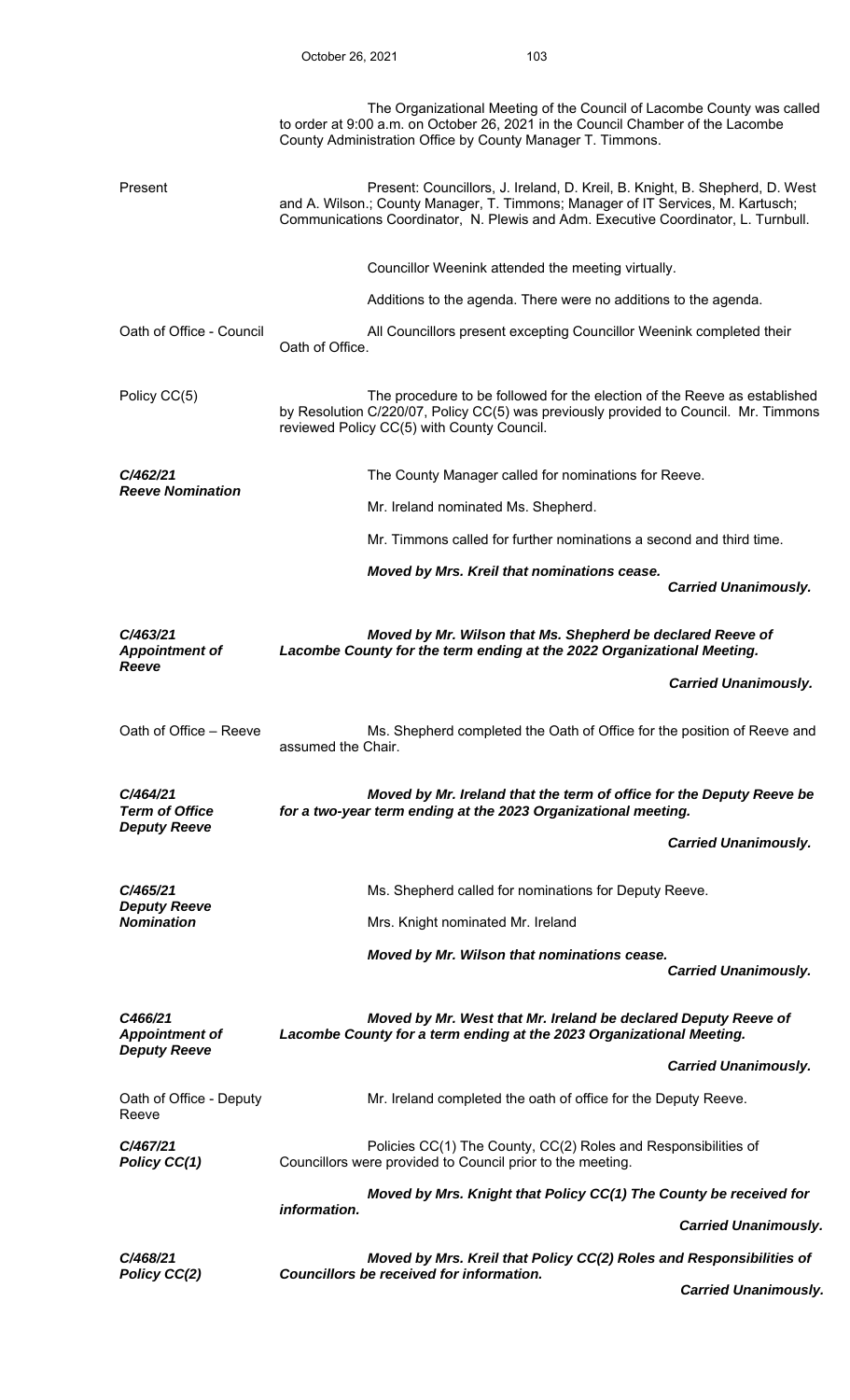|                                                          | The Organizational Meeting of the Council of Lacombe County was called<br>to order at 9:00 a.m. on October 26, 2021 in the Council Chamber of the Lacombe<br>County Administration Office by County Manager T. Timmons.                               |
|----------------------------------------------------------|-------------------------------------------------------------------------------------------------------------------------------------------------------------------------------------------------------------------------------------------------------|
| Present                                                  | Present: Councillors, J. Ireland, D. Kreil, B. Knight, B. Shepherd, D. West<br>and A. Wilson.; County Manager, T. Timmons; Manager of IT Services, M. Kartusch;<br>Communications Coordinator, N. Plewis and Adm. Executive Coordinator, L. Turnbull. |
|                                                          | Councillor Weenink attended the meeting virtually.                                                                                                                                                                                                    |
|                                                          | Additions to the agenda. There were no additions to the agenda.                                                                                                                                                                                       |
| Oath of Office - Council                                 | All Councillors present excepting Councillor Weenink completed their<br>Oath of Office.                                                                                                                                                               |
| Policy CC(5)                                             | The procedure to be followed for the election of the Reeve as established<br>by Resolution C/220/07, Policy CC(5) was previously provided to Council. Mr. Timmons<br>reviewed Policy CC(5) with County Council.                                       |
| C/462/21                                                 | The County Manager called for nominations for Reeve.                                                                                                                                                                                                  |
| <b>Reeve Nomination</b>                                  | Mr. Ireland nominated Ms. Shepherd.                                                                                                                                                                                                                   |
|                                                          | Mr. Timmons called for further nominations a second and third time.                                                                                                                                                                                   |
|                                                          | Moved by Mrs. Kreil that nominations cease.<br><b>Carried Unanimously.</b>                                                                                                                                                                            |
| C/463/21<br><b>Appointment of</b><br>Reeve               | Moved by Mr. Wilson that Ms. Shepherd be declared Reeve of<br>Lacombe County for the term ending at the 2022 Organizational Meeting.                                                                                                                  |
|                                                          | <b>Carried Unanimously.</b>                                                                                                                                                                                                                           |
| Oath of Office – Reeve                                   | Ms. Shepherd completed the Oath of Office for the position of Reeve and<br>assumed the Chair.                                                                                                                                                         |
| C/464/21<br><b>Term of Office</b><br><b>Deputy Reeve</b> | Moved by Mr. Ireland that the term of office for the Deputy Reeve be<br>for a two-year term ending at the 2023 Organizational meeting.                                                                                                                |
|                                                          | <b>Carried Unanimously.</b>                                                                                                                                                                                                                           |
| C/465/21                                                 | Ms. Shepherd called for nominations for Deputy Reeve.                                                                                                                                                                                                 |
| <b>Deputy Reeve</b><br><b>Nomination</b>                 | Mrs. Knight nominated Mr. Ireland                                                                                                                                                                                                                     |
|                                                          | Moved by Mr. Wilson that nominations cease.<br><b>Carried Unanimously.</b>                                                                                                                                                                            |
| C466/21                                                  | Moved by Mr. West that Mr. Ireland be declared Deputy Reeve of                                                                                                                                                                                        |
| <b>Appointment of</b><br><b>Deputy Reeve</b>             | Lacombe County for a term ending at the 2023 Organizational Meeting.                                                                                                                                                                                  |
|                                                          | <b>Carried Unanimously.</b>                                                                                                                                                                                                                           |
| Oath of Office - Deputy<br>Reeve                         | Mr. Ireland completed the oath of office for the Deputy Reeve.                                                                                                                                                                                        |
| C/467/21<br>Policy CC(1)                                 | Policies CC(1) The County, CC(2) Roles and Responsibilities of<br>Councillors were provided to Council prior to the meeting.                                                                                                                          |
|                                                          | Moved by Mrs. Knight that Policy CC(1) The County be received for<br>information.                                                                                                                                                                     |
|                                                          | <b>Carried Unanimously.</b>                                                                                                                                                                                                                           |
| C/468/21<br>Policy CC(2)                                 | Moved by Mrs. Kreil that Policy CC(2) Roles and Responsibilities of<br><b>Councillors be received for information.</b>                                                                                                                                |
|                                                          | <b>Carried Unanimously.</b>                                                                                                                                                                                                                           |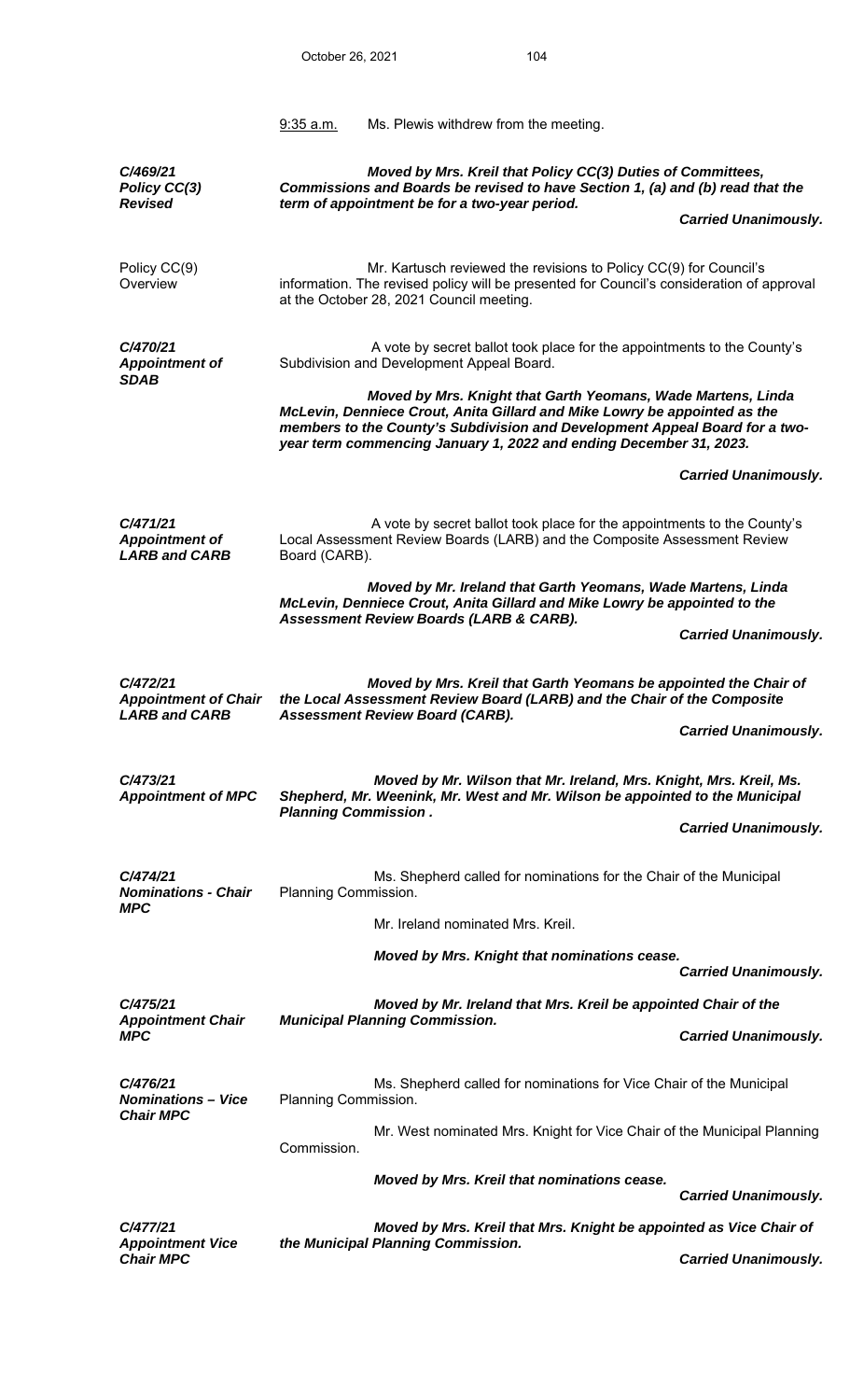|                                                                 | 9:35 a.m.                   | Ms. Plewis withdrew from the meeting.                                                                                                                                                                                                                                                          |                             |
|-----------------------------------------------------------------|-----------------------------|------------------------------------------------------------------------------------------------------------------------------------------------------------------------------------------------------------------------------------------------------------------------------------------------|-----------------------------|
| C/469/21<br>Policy CC(3)<br><b>Revised</b>                      |                             | Moved by Mrs. Kreil that Policy CC(3) Duties of Committees,<br>Commissions and Boards be revised to have Section 1, (a) and (b) read that the<br>term of appointment be for a two-year period.                                                                                                 |                             |
|                                                                 |                             |                                                                                                                                                                                                                                                                                                | <b>Carried Unanimously.</b> |
| Policy CC(9)<br>Overview                                        |                             | Mr. Kartusch reviewed the revisions to Policy CC(9) for Council's<br>information. The revised policy will be presented for Council's consideration of approval<br>at the October 28, 2021 Council meeting.                                                                                     |                             |
| C/470/21<br><b>Appointment of</b><br><b>SDAB</b>                |                             | A vote by secret ballot took place for the appointments to the County's<br>Subdivision and Development Appeal Board.                                                                                                                                                                           |                             |
|                                                                 |                             | Moved by Mrs. Knight that Garth Yeomans, Wade Martens, Linda<br>McLevin, Denniece Crout, Anita Gillard and Mike Lowry be appointed as the<br>members to the County's Subdivision and Development Appeal Board for a two-<br>year term commencing January 1, 2022 and ending December 31, 2023. |                             |
|                                                                 |                             |                                                                                                                                                                                                                                                                                                | <b>Carried Unanimously.</b> |
| C/471/21<br><b>Appointment of</b><br><b>LARB and CARB</b>       | Board (CARB).               | A vote by secret ballot took place for the appointments to the County's<br>Local Assessment Review Boards (LARB) and the Composite Assessment Review                                                                                                                                           |                             |
|                                                                 |                             | Moved by Mr. Ireland that Garth Yeomans, Wade Martens, Linda<br>McLevin, Denniece Crout, Anita Gillard and Mike Lowry be appointed to the<br>Assessment Review Boards (LARB & CARB).                                                                                                           |                             |
|                                                                 |                             |                                                                                                                                                                                                                                                                                                | <b>Carried Unanimously.</b> |
| C/472/21<br><b>Appointment of Chair</b><br><b>LARB and CARB</b> |                             | Moved by Mrs. Kreil that Garth Yeomans be appointed the Chair of<br>the Local Assessment Review Board (LARB) and the Chair of the Composite<br><b>Assessment Review Board (CARB).</b>                                                                                                          |                             |
|                                                                 |                             |                                                                                                                                                                                                                                                                                                | <b>Carried Unanimously.</b> |
| C/473/21<br><b>Appointment of MPC</b>                           | <b>Planning Commission.</b> | Moved by Mr. Wilson that Mr. Ireland, Mrs. Knight, Mrs. Kreil, Ms.<br>Shepherd, Mr. Weenink, Mr. West and Mr. Wilson be appointed to the Municipal                                                                                                                                             |                             |
|                                                                 |                             |                                                                                                                                                                                                                                                                                                | <b>Carried Unanimously.</b> |
| C/474/21<br><b>Nominations - Chair</b><br><b>MPC</b>            | Planning Commission.        | Ms. Shepherd called for nominations for the Chair of the Municipal                                                                                                                                                                                                                             |                             |
|                                                                 |                             | Mr. Ireland nominated Mrs. Kreil.                                                                                                                                                                                                                                                              |                             |
|                                                                 |                             | Moved by Mrs. Knight that nominations cease.                                                                                                                                                                                                                                                   | <b>Carried Unanimously.</b> |
| C/475/21                                                        |                             | Moved by Mr. Ireland that Mrs. Kreil be appointed Chair of the                                                                                                                                                                                                                                 |                             |
| <b>Appointment Chair</b><br><b>MPC</b>                          |                             | <b>Municipal Planning Commission.</b>                                                                                                                                                                                                                                                          | <b>Carried Unanimously.</b> |
| C/476/21<br><b>Nominations - Vice</b>                           | Planning Commission.        | Ms. Shepherd called for nominations for Vice Chair of the Municipal                                                                                                                                                                                                                            |                             |
| <b>Chair MPC</b>                                                | Commission.                 | Mr. West nominated Mrs. Knight for Vice Chair of the Municipal Planning                                                                                                                                                                                                                        |                             |
|                                                                 |                             | Moved by Mrs. Kreil that nominations cease.                                                                                                                                                                                                                                                    | <b>Carried Unanimously.</b> |
| C/477/21                                                        |                             | Moved by Mrs. Kreil that Mrs. Knight be appointed as Vice Chair of                                                                                                                                                                                                                             |                             |
| <b>Appointment Vice</b><br><b>Chair MPC</b>                     |                             | the Municipal Planning Commission.                                                                                                                                                                                                                                                             | <b>Carried Unanimously.</b> |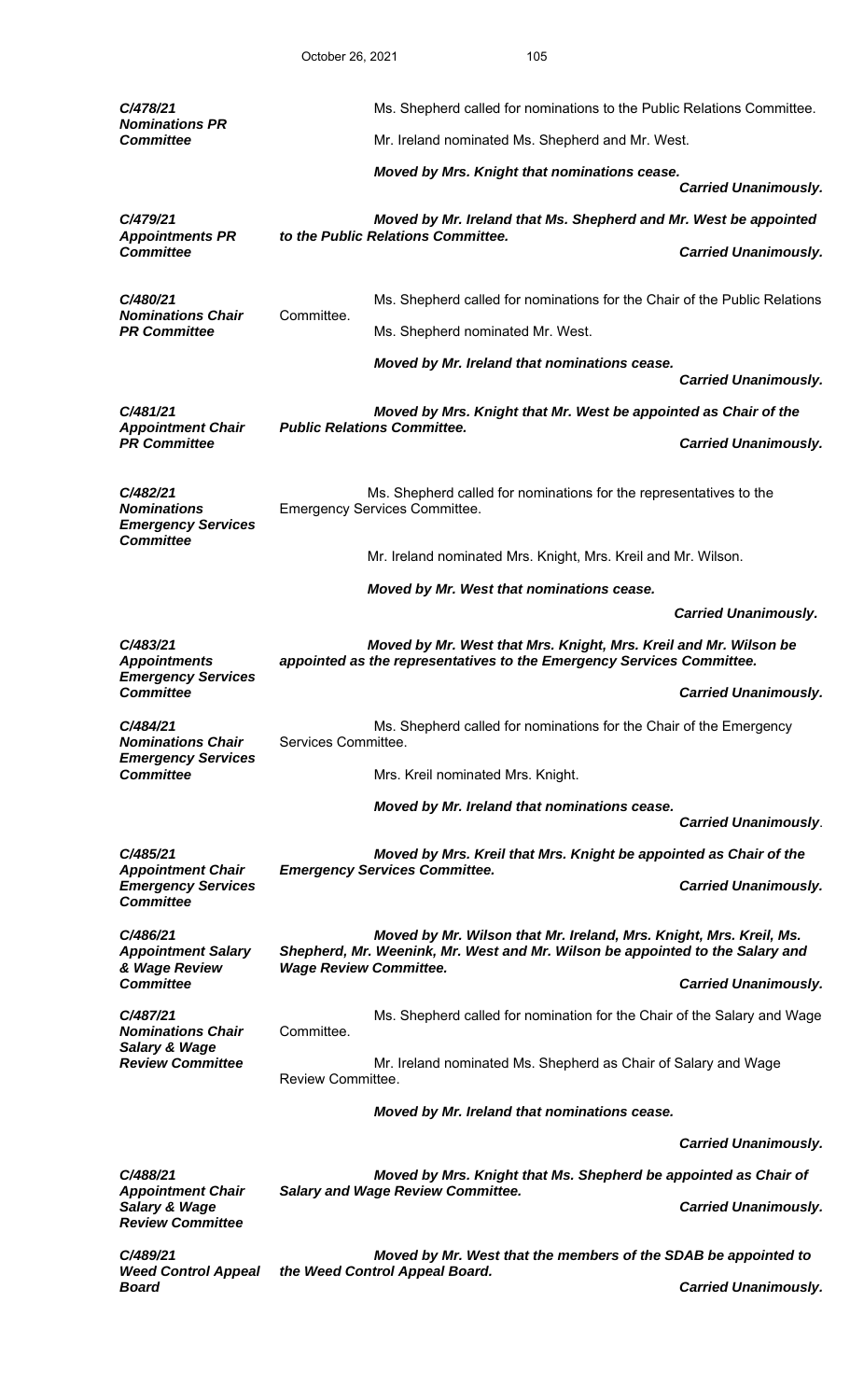| C/478/21                                                                        |                                                                                                                                           | Ms. Shepherd called for nominations to the Public Relations Committee.                                                                              |                             |
|---------------------------------------------------------------------------------|-------------------------------------------------------------------------------------------------------------------------------------------|-----------------------------------------------------------------------------------------------------------------------------------------------------|-----------------------------|
| <b>Nominations PR</b><br><b>Committee</b>                                       |                                                                                                                                           | Mr. Ireland nominated Ms. Shepherd and Mr. West.                                                                                                    |                             |
|                                                                                 |                                                                                                                                           | Moved by Mrs. Knight that nominations cease.                                                                                                        |                             |
| C/479/21                                                                        |                                                                                                                                           |                                                                                                                                                     | <b>Carried Unanimously.</b> |
| <b>Appointments PR</b>                                                          |                                                                                                                                           | Moved by Mr. Ireland that Ms. Shepherd and Mr. West be appointed<br>to the Public Relations Committee.                                              |                             |
| <b>Committee</b>                                                                |                                                                                                                                           |                                                                                                                                                     | <b>Carried Unanimously.</b> |
| C/480/21                                                                        |                                                                                                                                           | Ms. Shepherd called for nominations for the Chair of the Public Relations                                                                           |                             |
| <b>Nominations Chair</b><br><b>PR Committee</b>                                 | Committee.                                                                                                                                | Ms. Shepherd nominated Mr. West.                                                                                                                    |                             |
|                                                                                 |                                                                                                                                           | Moved by Mr. Ireland that nominations cease.                                                                                                        | <b>Carried Unanimously.</b> |
| C/481/21                                                                        |                                                                                                                                           | Moved by Mrs. Knight that Mr. West be appointed as Chair of the                                                                                     |                             |
| <b>Appointment Chair</b><br><b>PR Committee</b>                                 |                                                                                                                                           | <b>Public Relations Committee.</b>                                                                                                                  | <b>Carried Unanimously.</b> |
| C/482/21<br><b>Nominations</b><br><b>Emergency Services</b><br><b>Committee</b> |                                                                                                                                           | Ms. Shepherd called for nominations for the representatives to the<br><b>Emergency Services Committee.</b>                                          |                             |
|                                                                                 |                                                                                                                                           | Mr. Ireland nominated Mrs. Knight, Mrs. Kreil and Mr. Wilson.                                                                                       |                             |
|                                                                                 |                                                                                                                                           | Moved by Mr. West that nominations cease.                                                                                                           |                             |
|                                                                                 |                                                                                                                                           |                                                                                                                                                     | <b>Carried Unanimously.</b> |
| C/483/21<br><b>Appointments</b><br><b>Emergency Services</b>                    | Moved by Mr. West that Mrs. Knight, Mrs. Kreil and Mr. Wilson be<br>appointed as the representatives to the Emergency Services Committee. |                                                                                                                                                     |                             |
| <b>Committee</b>                                                                |                                                                                                                                           |                                                                                                                                                     | <b>Carried Unanimously.</b> |
| C/484/21<br><b>Nominations Chair</b>                                            | Services Committee.                                                                                                                       | Ms. Shepherd called for nominations for the Chair of the Emergency                                                                                  |                             |
| <b>Emergency Services</b><br><b>Committee</b>                                   |                                                                                                                                           | Mrs. Kreil nominated Mrs. Knight.                                                                                                                   |                             |
|                                                                                 |                                                                                                                                           | Moved by Mr. Ireland that nominations cease.                                                                                                        |                             |
|                                                                                 |                                                                                                                                           |                                                                                                                                                     | <b>Carried Unanimously.</b> |
| C/485/21<br><b>Appointment Chair</b>                                            |                                                                                                                                           | Moved by Mrs. Kreil that Mrs. Knight be appointed as Chair of the<br><b>Emergency Services Committee.</b>                                           |                             |
| <b>Emergency Services</b><br><b>Committee</b>                                   |                                                                                                                                           |                                                                                                                                                     | <b>Carried Unanimously.</b> |
| C/486/21<br><b>Appointment Salary</b>                                           |                                                                                                                                           | Moved by Mr. Wilson that Mr. Ireland, Mrs. Knight, Mrs. Kreil, Ms.<br>Shepherd, Mr. Weenink, Mr. West and Mr. Wilson be appointed to the Salary and |                             |
| & Wage Review<br><b>Committee</b>                                               | <b>Wage Review Committee.</b>                                                                                                             |                                                                                                                                                     | <b>Carried Unanimously.</b> |
| C/487/21<br><b>Nominations Chair</b>                                            | Committee.                                                                                                                                | Ms. Shepherd called for nomination for the Chair of the Salary and Wage                                                                             |                             |
| <b>Salary &amp; Wage</b><br><b>Review Committee</b>                             | Mr. Ireland nominated Ms. Shepherd as Chair of Salary and Wage<br>Review Committee.                                                       |                                                                                                                                                     |                             |
|                                                                                 |                                                                                                                                           | Moved by Mr. Ireland that nominations cease.                                                                                                        |                             |
|                                                                                 |                                                                                                                                           |                                                                                                                                                     | <b>Carried Unanimously.</b> |
| C/488/21                                                                        |                                                                                                                                           | Moved by Mrs. Knight that Ms. Shepherd be appointed as Chair of                                                                                     |                             |
| <b>Appointment Chair</b><br>Salary & Wage<br><b>Review Committee</b>            |                                                                                                                                           | <b>Salary and Wage Review Committee.</b>                                                                                                            | <b>Carried Unanimously.</b> |
| C/489/21                                                                        |                                                                                                                                           | Moved by Mr. West that the members of the SDAB be appointed to                                                                                      |                             |
| <b>Weed Control Appeal</b><br><b>Board</b>                                      |                                                                                                                                           | the Weed Control Appeal Board.                                                                                                                      | <b>Carried Unanimously.</b> |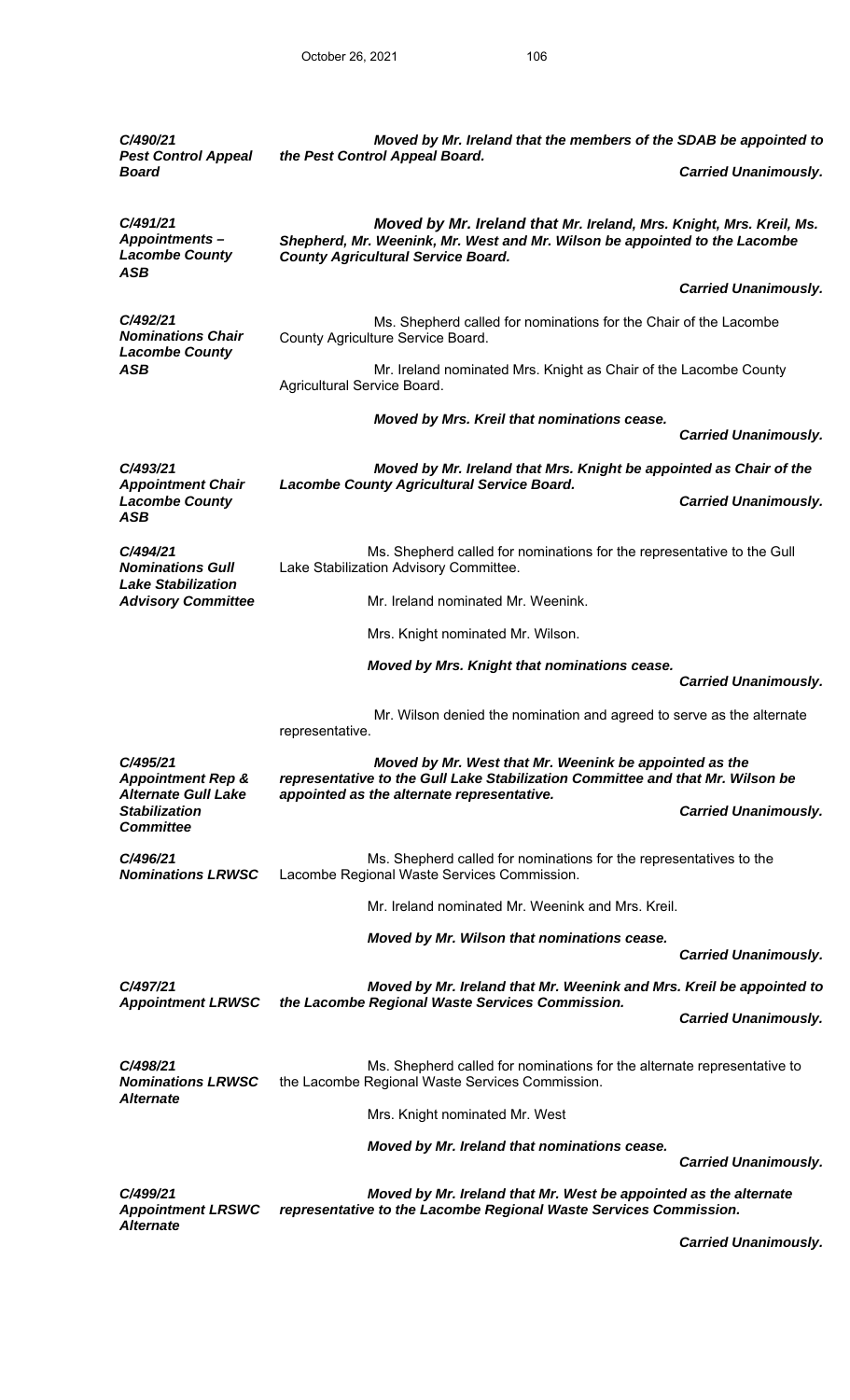| C/490/21<br><b>Pest Control Appeal</b>                                 | Moved by Mr. Ireland that the members of the SDAB be appointed to<br>the Pest Control Appeal Board.                                                                                            |                             |
|------------------------------------------------------------------------|------------------------------------------------------------------------------------------------------------------------------------------------------------------------------------------------|-----------------------------|
| <b>Board</b>                                                           |                                                                                                                                                                                                | <b>Carried Unanimously.</b> |
| C/491/21<br><b>Appointments-</b><br><b>Lacombe County</b>              | Moved by Mr. Ireland that Mr. Ireland, Mrs. Knight, Mrs. Kreil, Ms.<br>Shepherd, Mr. Weenink, Mr. West and Mr. Wilson be appointed to the Lacombe<br><b>County Agricultural Service Board.</b> |                             |
| ASB                                                                    |                                                                                                                                                                                                | <b>Carried Unanimously.</b> |
| C/492/21<br><b>Nominations Chair</b><br><b>Lacombe County</b>          | Ms. Shepherd called for nominations for the Chair of the Lacombe<br>County Agriculture Service Board.                                                                                          |                             |
| <b>ASB</b>                                                             | Mr. Ireland nominated Mrs. Knight as Chair of the Lacombe County<br>Agricultural Service Board.                                                                                                |                             |
|                                                                        | Moved by Mrs. Kreil that nominations cease.                                                                                                                                                    | <b>Carried Unanimously.</b> |
| C/493/21                                                               | Moved by Mr. Ireland that Mrs. Knight be appointed as Chair of the                                                                                                                             |                             |
| <b>Appointment Chair</b><br><b>Lacombe County</b><br><b>ASB</b>        | <b>Lacombe County Agricultural Service Board.</b>                                                                                                                                              | <b>Carried Unanimously.</b> |
| C/494/21<br><b>Nominations Gull</b><br><b>Lake Stabilization</b>       | Ms. Shepherd called for nominations for the representative to the Gull<br>Lake Stabilization Advisory Committee.                                                                               |                             |
| <b>Advisory Committee</b>                                              | Mr. Ireland nominated Mr. Weenink.                                                                                                                                                             |                             |
|                                                                        | Mrs. Knight nominated Mr. Wilson.                                                                                                                                                              |                             |
|                                                                        | Moved by Mrs. Knight that nominations cease.                                                                                                                                                   | <b>Carried Unanimously.</b> |
|                                                                        | Mr. Wilson denied the nomination and agreed to serve as the alternate<br>representative.                                                                                                       |                             |
| C/495/21<br><b>Appointment Rep &amp;</b>                               | Moved by Mr. West that Mr. Weenink be appointed as the<br>representative to the Gull Lake Stabilization Committee and that Mr. Wilson be                                                       |                             |
| <b>Alternate Gull Lake</b><br><b>Stabilization</b><br><b>Committee</b> | appointed as the alternate representative.                                                                                                                                                     | <b>Carried Unanimously.</b> |
| C/496/21<br><b>Nominations LRWSC</b>                                   | Ms. Shepherd called for nominations for the representatives to the<br>Lacombe Regional Waste Services Commission.                                                                              |                             |
|                                                                        | Mr. Ireland nominated Mr. Weenink and Mrs. Kreil.                                                                                                                                              |                             |
|                                                                        | Moved by Mr. Wilson that nominations cease.                                                                                                                                                    | <b>Carried Unanimously.</b> |
| C/497/21<br><b>Appointment LRWSC</b>                                   | Moved by Mr. Ireland that Mr. Weenink and Mrs. Kreil be appointed to<br>the Lacombe Regional Waste Services Commission.                                                                        |                             |
|                                                                        |                                                                                                                                                                                                | <b>Carried Unanimously.</b> |
| C/498/21<br><b>Nominations LRWSC</b>                                   | Ms. Shepherd called for nominations for the alternate representative to<br>the Lacombe Regional Waste Services Commission.                                                                     |                             |
| <i><b>Alternate</b></i>                                                | Mrs. Knight nominated Mr. West                                                                                                                                                                 |                             |
|                                                                        | Moved by Mr. Ireland that nominations cease.                                                                                                                                                   |                             |
|                                                                        |                                                                                                                                                                                                | <b>Carried Unanimously.</b> |
| C/499/21<br><b>Appointment LRSWC</b><br><b>Alternate</b>               | Moved by Mr. Ireland that Mr. West be appointed as the alternate<br>representative to the Lacombe Regional Waste Services Commission.                                                          |                             |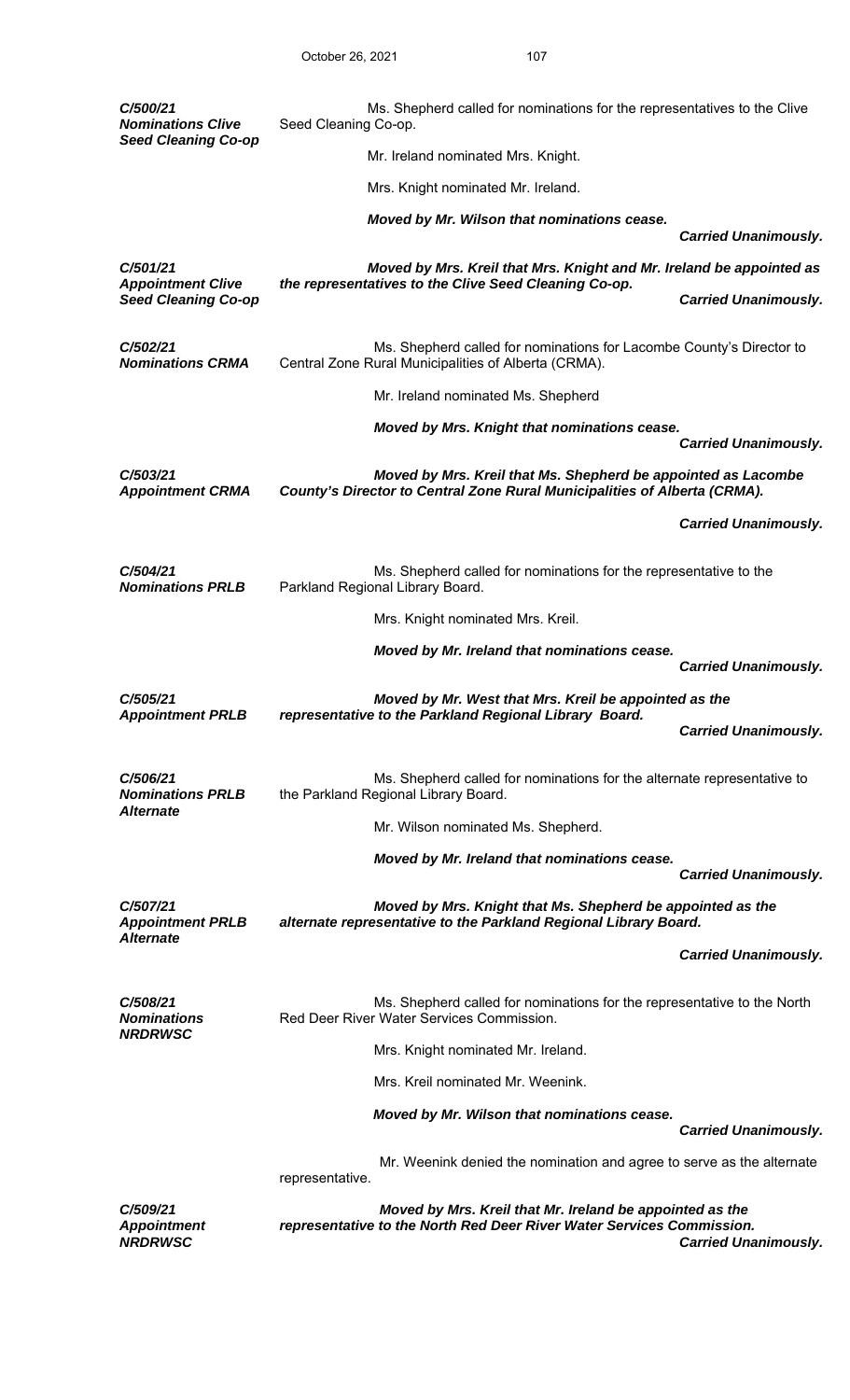| C/500/21<br><b>Nominations Clive</b>                    | Ms. Shepherd called for nominations for the representatives to the Clive<br>Seed Cleaning Co-op.                                                                 |
|---------------------------------------------------------|------------------------------------------------------------------------------------------------------------------------------------------------------------------|
| <b>Seed Cleaning Co-op</b>                              | Mr. Ireland nominated Mrs. Knight.                                                                                                                               |
|                                                         | Mrs. Knight nominated Mr. Ireland.                                                                                                                               |
|                                                         | Moved by Mr. Wilson that nominations cease.                                                                                                                      |
|                                                         | <b>Carried Unanimously.</b>                                                                                                                                      |
| C/501/21<br><b>Appointment Clive</b>                    | Moved by Mrs. Kreil that Mrs. Knight and Mr. Ireland be appointed as<br>the representatives to the Clive Seed Cleaning Co-op.                                    |
| <b>Seed Cleaning Co-op</b>                              | <b>Carried Unanimously.</b>                                                                                                                                      |
| C/502/21<br><b>Nominations CRMA</b>                     | Ms. Shepherd called for nominations for Lacombe County's Director to<br>Central Zone Rural Municipalities of Alberta (CRMA).                                     |
|                                                         | Mr. Ireland nominated Ms. Shepherd                                                                                                                               |
|                                                         | Moved by Mrs. Knight that nominations cease.                                                                                                                     |
|                                                         | <b>Carried Unanimously.</b>                                                                                                                                      |
| C/503/21<br><b>Appointment CRMA</b>                     | Moved by Mrs. Kreil that Ms. Shepherd be appointed as Lacombe<br>County's Director to Central Zone Rural Municipalities of Alberta (CRMA).                       |
|                                                         | <b>Carried Unanimously.</b>                                                                                                                                      |
| C/504/21<br><b>Nominations PRLB</b>                     | Ms. Shepherd called for nominations for the representative to the<br>Parkland Regional Library Board.                                                            |
|                                                         | Mrs. Knight nominated Mrs. Kreil.                                                                                                                                |
|                                                         | Moved by Mr. Ireland that nominations cease.                                                                                                                     |
|                                                         | <b>Carried Unanimously.</b>                                                                                                                                      |
| C/505/21<br><b>Appointment PRLB</b>                     | Moved by Mr. West that Mrs. Kreil be appointed as the<br>representative to the Parkland Regional Library Board.                                                  |
|                                                         | <b>Carried Unanimously.</b>                                                                                                                                      |
| C/506/21<br><b>Nominations PRLB</b><br><b>Alternate</b> | Ms. Shepherd called for nominations for the alternate representative to<br>the Parkland Regional Library Board.                                                  |
|                                                         | Mr. Wilson nominated Ms. Shepherd.                                                                                                                               |
|                                                         | Moved by Mr. Ireland that nominations cease.<br><b>Carried Unanimously.</b>                                                                                      |
| C/507/21<br><b>Appointment PRLB</b>                     | Moved by Mrs. Knight that Ms. Shepherd be appointed as the<br>alternate representative to the Parkland Regional Library Board.                                   |
| <b>Alternate</b>                                        | <b>Carried Unanimously.</b>                                                                                                                                      |
| C/508/21<br><b>Nominations</b>                          | Ms. Shepherd called for nominations for the representative to the North<br>Red Deer River Water Services Commission.                                             |
| <b>NRDRWSC</b>                                          | Mrs. Knight nominated Mr. Ireland.                                                                                                                               |
|                                                         | Mrs. Kreil nominated Mr. Weenink.                                                                                                                                |
|                                                         | Moved by Mr. Wilson that nominations cease.                                                                                                                      |
|                                                         | <b>Carried Unanimously.</b>                                                                                                                                      |
|                                                         | Mr. Weenink denied the nomination and agree to serve as the alternate<br>representative.                                                                         |
| C/509/21<br><b>Appointment</b><br><b>NRDRWSC</b>        | Moved by Mrs. Kreil that Mr. Ireland be appointed as the<br>representative to the North Red Deer River Water Services Commission.<br><b>Carried Unanimously.</b> |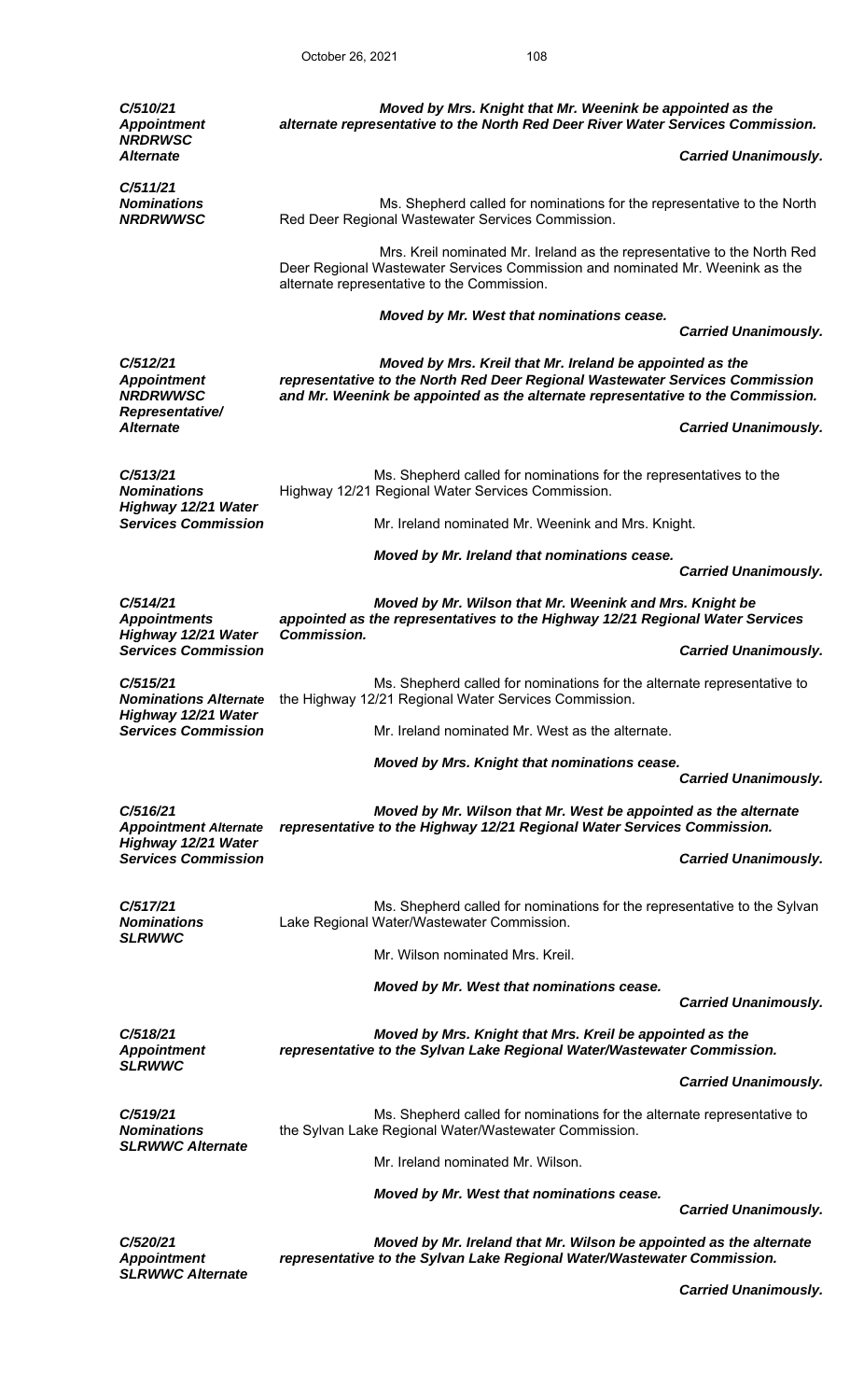October 26, 2021 108

| C/510/21<br><b>Appointment</b><br><b>NRDRWSC</b>                     |                    | Moved by Mrs. Knight that Mr. Weenink be appointed as the<br>alternate representative to the North Red Deer River Water Services Commission.                                                                                |                             |
|----------------------------------------------------------------------|--------------------|-----------------------------------------------------------------------------------------------------------------------------------------------------------------------------------------------------------------------------|-----------------------------|
| <b>Alternate</b>                                                     |                    |                                                                                                                                                                                                                             | <b>Carried Unanimously.</b> |
| C/511/21<br><b>Nominations</b><br><b>NRDRWWSC</b>                    |                    | Ms. Shepherd called for nominations for the representative to the North<br>Red Deer Regional Wastewater Services Commission.                                                                                                |                             |
|                                                                      |                    | Mrs. Kreil nominated Mr. Ireland as the representative to the North Red<br>Deer Regional Wastewater Services Commission and nominated Mr. Weenink as the<br>alternate representative to the Commission.                     |                             |
|                                                                      |                    | Moved by Mr. West that nominations cease.                                                                                                                                                                                   | <b>Carried Unanimously.</b> |
| C/512/21<br><b>Appointment</b><br><b>NRDRWWSC</b><br>Representative/ |                    | Moved by Mrs. Kreil that Mr. Ireland be appointed as the<br>representative to the North Red Deer Regional Wastewater Services Commission<br>and Mr. Weenink be appointed as the alternate representative to the Commission. |                             |
| <b>Alternate</b>                                                     |                    |                                                                                                                                                                                                                             | <b>Carried Unanimously.</b> |
| C/513/21<br><b>Nominations</b><br>Highway 12/21 Water                |                    | Ms. Shepherd called for nominations for the representatives to the<br>Highway 12/21 Regional Water Services Commission.                                                                                                     |                             |
| <b>Services Commission</b>                                           |                    | Mr. Ireland nominated Mr. Weenink and Mrs. Knight.                                                                                                                                                                          |                             |
|                                                                      |                    | Moved by Mr. Ireland that nominations cease.                                                                                                                                                                                | <b>Carried Unanimously.</b> |
| C/514/21<br><b>Appointments</b><br>Highway 12/21 Water               | <b>Commission.</b> | Moved by Mr. Wilson that Mr. Weenink and Mrs. Knight be<br>appointed as the representatives to the Highway 12/21 Regional Water Services                                                                                    |                             |
| <b>Services Commission</b>                                           |                    |                                                                                                                                                                                                                             | <b>Carried Unanimously.</b> |
| C/515/21<br><b>Nominations Alternate</b><br>Highway 12/21 Water      |                    | Ms. Shepherd called for nominations for the alternate representative to<br>the Highway 12/21 Regional Water Services Commission.                                                                                            |                             |
| <b>Services Commission</b>                                           |                    | Mr. Ireland nominated Mr. West as the alternate.                                                                                                                                                                            |                             |
|                                                                      |                    | Moved by Mrs. Knight that nominations cease.                                                                                                                                                                                | <b>Carried Unanimously.</b> |
| C/516/21                                                             |                    | Moved by Mr. Wilson that Mr. West be appointed as the alternate                                                                                                                                                             |                             |
| <b>Appointment Alternate</b><br>Highway 12/21 Water                  |                    | representative to the Highway 12/21 Regional Water Services Commission.                                                                                                                                                     |                             |
| <b>Services Commission</b>                                           |                    |                                                                                                                                                                                                                             | <b>Carried Unanimously.</b> |
| C/517/21<br><b>Nominations</b>                                       |                    | Ms. Shepherd called for nominations for the representative to the Sylvan<br>Lake Regional Water/Wastewater Commission.                                                                                                      |                             |
| <b>SLRWWC</b>                                                        |                    | Mr. Wilson nominated Mrs. Kreil.                                                                                                                                                                                            |                             |
|                                                                      |                    | Moved by Mr. West that nominations cease.                                                                                                                                                                                   |                             |
|                                                                      |                    |                                                                                                                                                                                                                             | <b>Carried Unanimously.</b> |
| C/518/21<br><b>Appointment</b><br><b>SLRWWC</b>                      |                    | Moved by Mrs. Knight that Mrs. Kreil be appointed as the<br>representative to the Sylvan Lake Regional Water/Wastewater Commission.                                                                                         |                             |
|                                                                      |                    |                                                                                                                                                                                                                             | <b>Carried Unanimously.</b> |
| C/519/21<br><b>Nominations</b><br><b>SLRWWC Alternate</b>            |                    | Ms. Shepherd called for nominations for the alternate representative to<br>the Sylvan Lake Regional Water/Wastewater Commission.                                                                                            |                             |
|                                                                      |                    | Mr. Ireland nominated Mr. Wilson.                                                                                                                                                                                           |                             |
|                                                                      |                    | Moved by Mr. West that nominations cease.                                                                                                                                                                                   | <b>Carried Unanimously.</b> |
|                                                                      |                    |                                                                                                                                                                                                                             |                             |
| <b>C/520/21</b><br><b>Appointment</b><br><b>SLRWWC Alternate</b>     |                    | Moved by Mr. Ireland that Mr. Wilson be appointed as the alternate<br>representative to the Sylvan Lake Regional Water/Wastewater Commission.                                                                               |                             |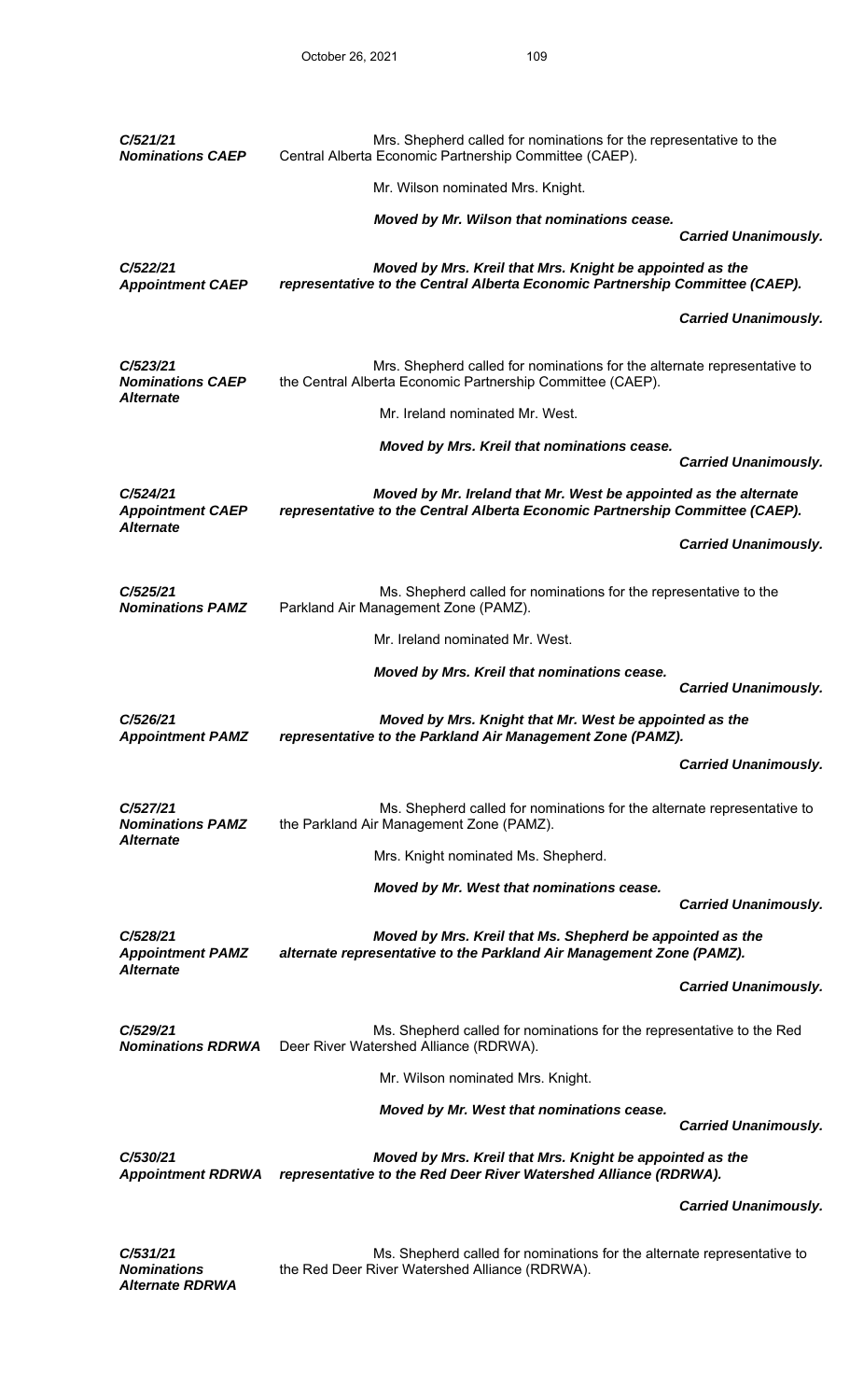| C/521/21<br><b>Nominations CAEP</b>                     | Mrs. Shepherd called for nominations for the representative to the<br>Central Alberta Economic Partnership Committee (CAEP).                     |                             |
|---------------------------------------------------------|--------------------------------------------------------------------------------------------------------------------------------------------------|-----------------------------|
|                                                         | Mr. Wilson nominated Mrs. Knight.                                                                                                                |                             |
|                                                         | Moved by Mr. Wilson that nominations cease.                                                                                                      | <b>Carried Unanimously.</b> |
| C/522/21<br><b>Appointment CAEP</b>                     | Moved by Mrs. Kreil that Mrs. Knight be appointed as the<br>representative to the Central Alberta Economic Partnership Committee (CAEP).         |                             |
|                                                         |                                                                                                                                                  | <b>Carried Unanimously.</b> |
| C/523/21<br><b>Nominations CAEP</b><br><b>Alternate</b> | Mrs. Shepherd called for nominations for the alternate representative to<br>the Central Alberta Economic Partnership Committee (CAEP).           |                             |
|                                                         | Mr. Ireland nominated Mr. West.                                                                                                                  |                             |
|                                                         | Moved by Mrs. Kreil that nominations cease.                                                                                                      |                             |
|                                                         |                                                                                                                                                  | <b>Carried Unanimously.</b> |
| C/524/21<br><b>Appointment CAEP</b><br><b>Alternate</b> | Moved by Mr. Ireland that Mr. West be appointed as the alternate<br>representative to the Central Alberta Economic Partnership Committee (CAEP). |                             |
|                                                         |                                                                                                                                                  | <b>Carried Unanimously.</b> |
| C/525/21<br><b>Nominations PAMZ</b>                     | Ms. Shepherd called for nominations for the representative to the<br>Parkland Air Management Zone (PAMZ).                                        |                             |
|                                                         | Mr. Ireland nominated Mr. West.                                                                                                                  |                             |
|                                                         | Moved by Mrs. Kreil that nominations cease.                                                                                                      | <b>Carried Unanimously.</b> |
| C/526/21<br><b>Appointment PAMZ</b>                     | Moved by Mrs. Knight that Mr. West be appointed as the<br>representative to the Parkland Air Management Zone (PAMZ).                             |                             |
|                                                         |                                                                                                                                                  | <b>Carried Unanimously.</b> |
| C/527/21<br><b>Nominations PAMZ</b>                     | Ms. Shepherd called for nominations for the alternate representative to<br>the Parkland Air Management Zone (PAMZ).                              |                             |
| <b>Alternate</b>                                        | Mrs. Knight nominated Ms. Shepherd.                                                                                                              |                             |
|                                                         | Moved by Mr. West that nominations cease.                                                                                                        | <b>Carried Unanimously.</b> |
| C/528/21<br><b>Appointment PAMZ</b><br><b>Alternate</b> | Moved by Mrs. Kreil that Ms. Shepherd be appointed as the<br>alternate representative to the Parkland Air Management Zone (PAMZ).                |                             |
|                                                         |                                                                                                                                                  | <b>Carried Unanimously.</b> |
| C/529/21<br><b>Nominations RDRWA</b>                    | Ms. Shepherd called for nominations for the representative to the Red<br>Deer River Watershed Alliance (RDRWA).                                  |                             |
|                                                         | Mr. Wilson nominated Mrs. Knight.                                                                                                                |                             |
|                                                         | Moved by Mr. West that nominations cease.                                                                                                        | <b>Carried Unanimously.</b> |
| C/530/21<br><b>Appointment RDRWA</b>                    | Moved by Mrs. Kreil that Mrs. Knight be appointed as the<br>representative to the Red Deer River Watershed Alliance (RDRWA).                     |                             |
|                                                         |                                                                                                                                                  | <b>Carried Unanimously.</b> |
| C/531/21                                                | Ms. Shepherd called for nominations for the alternate representative to                                                                          |                             |

*Nominations Alternate RDRWA*   Ms. Shepherd called for nominations for the alternate representative to the Red Deer River Watershed Alliance (RDRWA).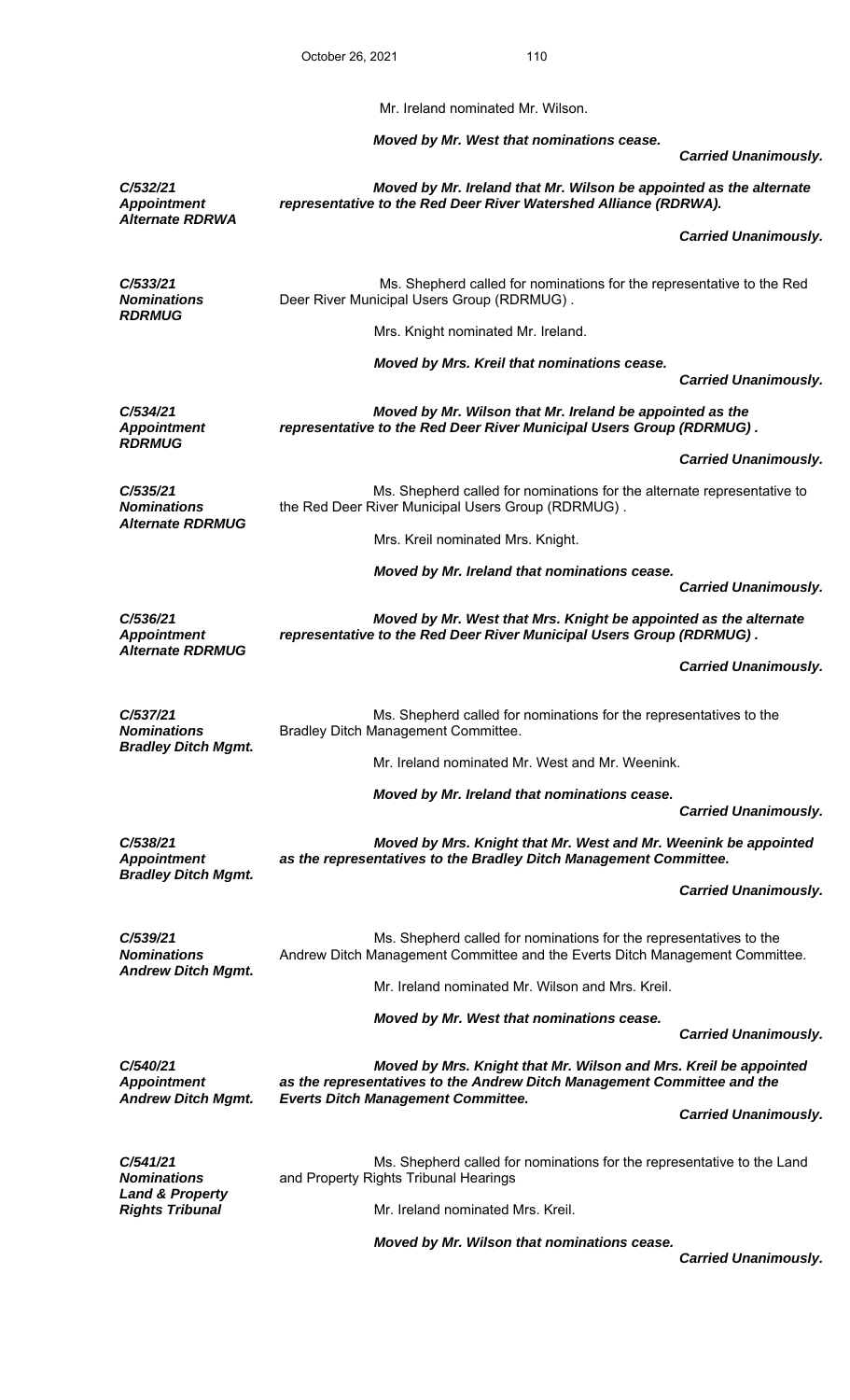Mr. Ireland nominated Mr. Wilson.

*Moved by Mr. West that nominations cease.* 

 *Carried Unanimously.* 

|                                                             |                                                                                                                                                    | Garricu Ondrinnousiy.       |
|-------------------------------------------------------------|----------------------------------------------------------------------------------------------------------------------------------------------------|-----------------------------|
| C/532/21<br><b>Appointment</b><br><b>Alternate RDRWA</b>    | Moved by Mr. Ireland that Mr. Wilson be appointed as the alternate<br>representative to the Red Deer River Watershed Alliance (RDRWA).             |                             |
|                                                             |                                                                                                                                                    | <b>Carried Unanimously.</b> |
| C/533/21<br><b>Nominations</b>                              | Ms. Shepherd called for nominations for the representative to the Red<br>Deer River Municipal Users Group (RDRMUG).                                |                             |
| <b>RDRMUG</b>                                               | Mrs. Knight nominated Mr. Ireland.                                                                                                                 |                             |
|                                                             | Moved by Mrs. Kreil that nominations cease.                                                                                                        | <b>Carried Unanimously.</b> |
| C/534/21<br><b>Appointment</b><br><b>RDRMUG</b>             | Moved by Mr. Wilson that Mr. Ireland be appointed as the<br>representative to the Red Deer River Municipal Users Group (RDRMUG).                   |                             |
|                                                             |                                                                                                                                                    | <b>Carried Unanimously.</b> |
| C/535/21<br><b>Nominations</b><br><b>Alternate RDRMUG</b>   | Ms. Shepherd called for nominations for the alternate representative to<br>the Red Deer River Municipal Users Group (RDRMUG).                      |                             |
|                                                             | Mrs. Kreil nominated Mrs. Knight.                                                                                                                  |                             |
|                                                             | Moved by Mr. Ireland that nominations cease.                                                                                                       | <b>Carried Unanimously.</b> |
| C/536/21<br><b>Appointment</b><br><b>Alternate RDRMUG</b>   | Moved by Mr. West that Mrs. Knight be appointed as the alternate<br>representative to the Red Deer River Municipal Users Group (RDRMUG).           |                             |
|                                                             |                                                                                                                                                    | <b>Carried Unanimously.</b> |
| C/537/21<br><b>Nominations</b>                              | Ms. Shepherd called for nominations for the representatives to the<br>Bradley Ditch Management Committee.                                          |                             |
| <b>Bradley Ditch Mgmt.</b>                                  | Mr. Ireland nominated Mr. West and Mr. Weenink.                                                                                                    |                             |
|                                                             | Moved by Mr. Ireland that nominations cease.                                                                                                       | <b>Carried Unanimously.</b> |
| C/538/21<br><b>Appointment</b>                              | Moved by Mrs. Knight that Mr. West and Mr. Weenink be appointed<br>as the representatives to the Bradley Ditch Management Committee.               |                             |
| <b>Bradley Ditch Mgmt.</b>                                  |                                                                                                                                                    | <b>Carried Unanimously.</b> |
| C/539/21<br><b>Nominations</b><br><b>Andrew Ditch Mgmt.</b> | Ms. Shepherd called for nominations for the representatives to the<br>Andrew Ditch Management Committee and the Everts Ditch Management Committee. |                             |
|                                                             | Mr. Ireland nominated Mr. Wilson and Mrs. Kreil.                                                                                                   |                             |
|                                                             | Moved by Mr. West that nominations cease.                                                                                                          | <b>Carried Unanimously.</b> |
| C/540/21<br><b>Appointment</b>                              | Moved by Mrs. Knight that Mr. Wilson and Mrs. Kreil be appointed<br>as the representatives to the Andrew Ditch Management Committee and the        |                             |
| <b>Andrew Ditch Mgmt.</b>                                   | <b>Everts Ditch Management Committee.</b>                                                                                                          | <b>Carried Unanimously.</b> |
| C/541/21<br><b>Nominations</b>                              | Ms. Shepherd called for nominations for the representative to the Land<br>and Property Rights Tribunal Hearings                                    |                             |
| <b>Land &amp; Property</b><br><b>Rights Tribunal</b>        | Mr. Ireland nominated Mrs. Kreil.                                                                                                                  |                             |
|                                                             | Moved by Mr. Wilson that nominations cease.                                                                                                        |                             |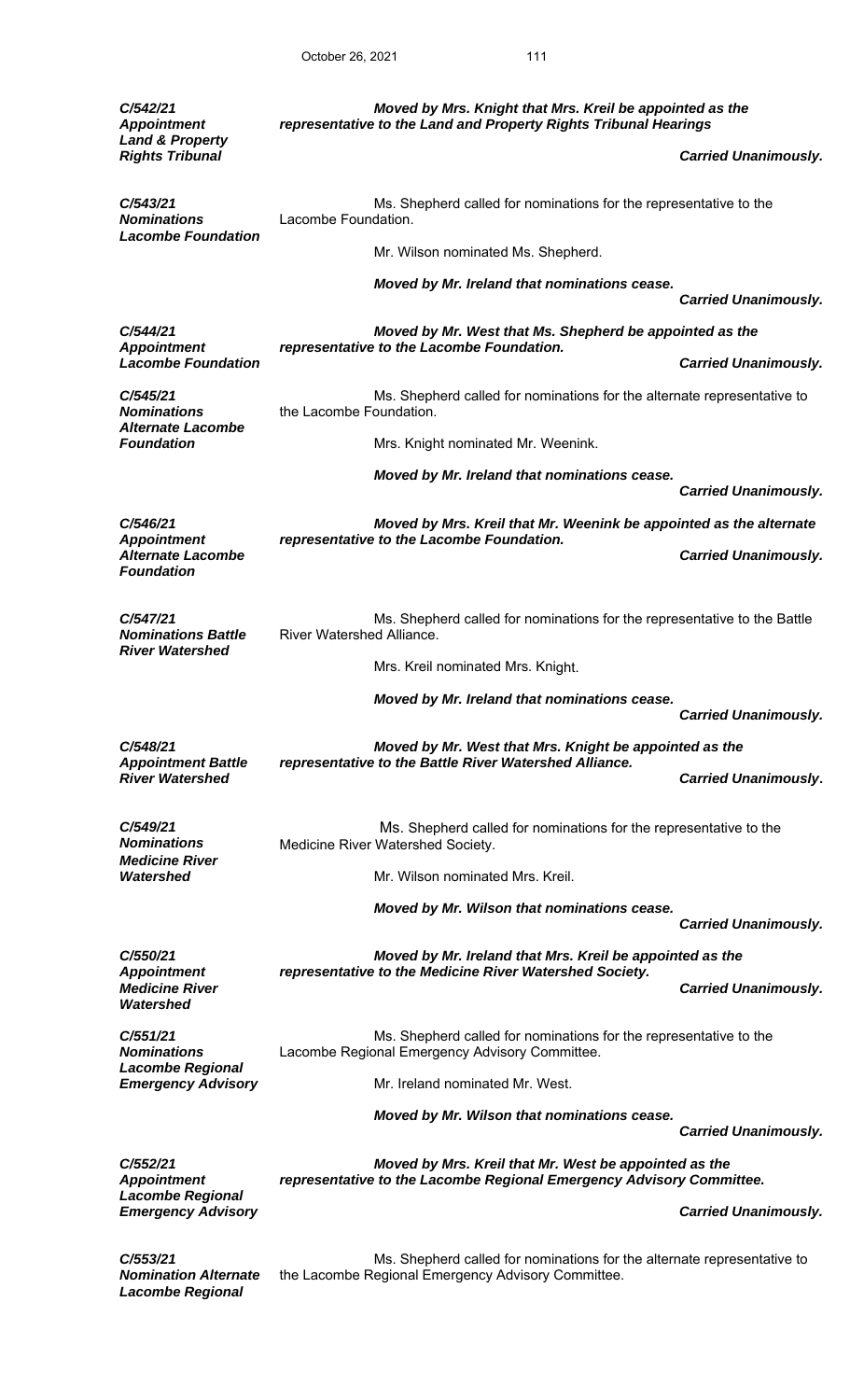| C/542/21<br><b>Appointment</b><br><b>Land &amp; Property</b>        | Moved by Mrs. Knight that Mrs. Kreil be appointed as the<br>representative to the Land and Property Rights Tribunal Hearings  |                             |  |
|---------------------------------------------------------------------|-------------------------------------------------------------------------------------------------------------------------------|-----------------------------|--|
| <b>Rights Tribunal</b>                                              |                                                                                                                               | <b>Carried Unanimously.</b> |  |
| C/543/21<br><b>Nominations</b><br><b>Lacombe Foundation</b>         | Ms. Shepherd called for nominations for the representative to the<br>Lacombe Foundation.                                      |                             |  |
|                                                                     | Mr. Wilson nominated Ms. Shepherd.                                                                                            |                             |  |
|                                                                     | Moved by Mr. Ireland that nominations cease.                                                                                  | <b>Carried Unanimously.</b> |  |
| C/544/21                                                            | Moved by Mr. West that Ms. Shepherd be appointed as the                                                                       |                             |  |
| <b>Appointment</b><br><b>Lacombe Foundation</b>                     | representative to the Lacombe Foundation.                                                                                     | <b>Carried Unanimously.</b> |  |
| C/545/21<br><b>Nominations</b><br><b>Alternate Lacombe</b>          | Ms. Shepherd called for nominations for the alternate representative to<br>the Lacombe Foundation.                            |                             |  |
| <b>Foundation</b>                                                   | Mrs. Knight nominated Mr. Weenink.                                                                                            |                             |  |
|                                                                     | Moved by Mr. Ireland that nominations cease.                                                                                  | <b>Carried Unanimously.</b> |  |
| C/546/21                                                            | Moved by Mrs. Kreil that Mr. Weenink be appointed as the alternate                                                            |                             |  |
| <b>Appointment</b><br><b>Alternate Lacombe</b><br><b>Foundation</b> | representative to the Lacombe Foundation.                                                                                     | <b>Carried Unanimously.</b> |  |
| C/547/21<br><b>Nominations Battle</b><br><b>River Watershed</b>     | Ms. Shepherd called for nominations for the representative to the Battle<br><b>River Watershed Alliance.</b>                  |                             |  |
|                                                                     | Mrs. Kreil nominated Mrs. Knight.                                                                                             |                             |  |
|                                                                     |                                                                                                                               |                             |  |
|                                                                     | Moved by Mr. Ireland that nominations cease.                                                                                  | <b>Carried Unanimously.</b> |  |
| C/548/21                                                            | Moved by Mr. West that Mrs. Knight be appointed as the                                                                        |                             |  |
| <b>Appointment Battle</b><br><b>River Watershed</b>                 | representative to the Battle River Watershed Alliance.                                                                        | <b>Carried Unanimously.</b> |  |
| C/549/21<br><b>Nominations</b>                                      | Ms. Shepherd called for nominations for the representative to the<br>Medicine River Watershed Society.                        |                             |  |
| <b>Medicine River</b><br>Watershed                                  | Mr. Wilson nominated Mrs. Kreil.                                                                                              |                             |  |
|                                                                     | Moved by Mr. Wilson that nominations cease.                                                                                   | <b>Carried Unanimously.</b> |  |
| C/550/21                                                            | Moved by Mr. Ireland that Mrs. Kreil be appointed as the                                                                      |                             |  |
| <b>Appointment</b><br><b>Medicine River</b><br>Watershed            | representative to the Medicine River Watershed Society.                                                                       | <b>Carried Unanimously.</b> |  |
| C/551/21<br><b>Nominations</b>                                      | Ms. Shepherd called for nominations for the representative to the<br>Lacombe Regional Emergency Advisory Committee.           |                             |  |
| <b>Lacombe Regional</b><br><b>Emergency Advisory</b>                | Mr. Ireland nominated Mr. West.                                                                                               |                             |  |
|                                                                     | Moved by Mr. Wilson that nominations cease.                                                                                   | <b>Carried Unanimously.</b> |  |
| C/552/21<br><b>Appointment</b>                                      | Moved by Mrs. Kreil that Mr. West be appointed as the<br>representative to the Lacombe Regional Emergency Advisory Committee. |                             |  |
| <b>Lacombe Regional</b><br><b>Emergency Advisory</b>                |                                                                                                                               | <b>Carried Unanimously.</b> |  |

*Lacombe Regional*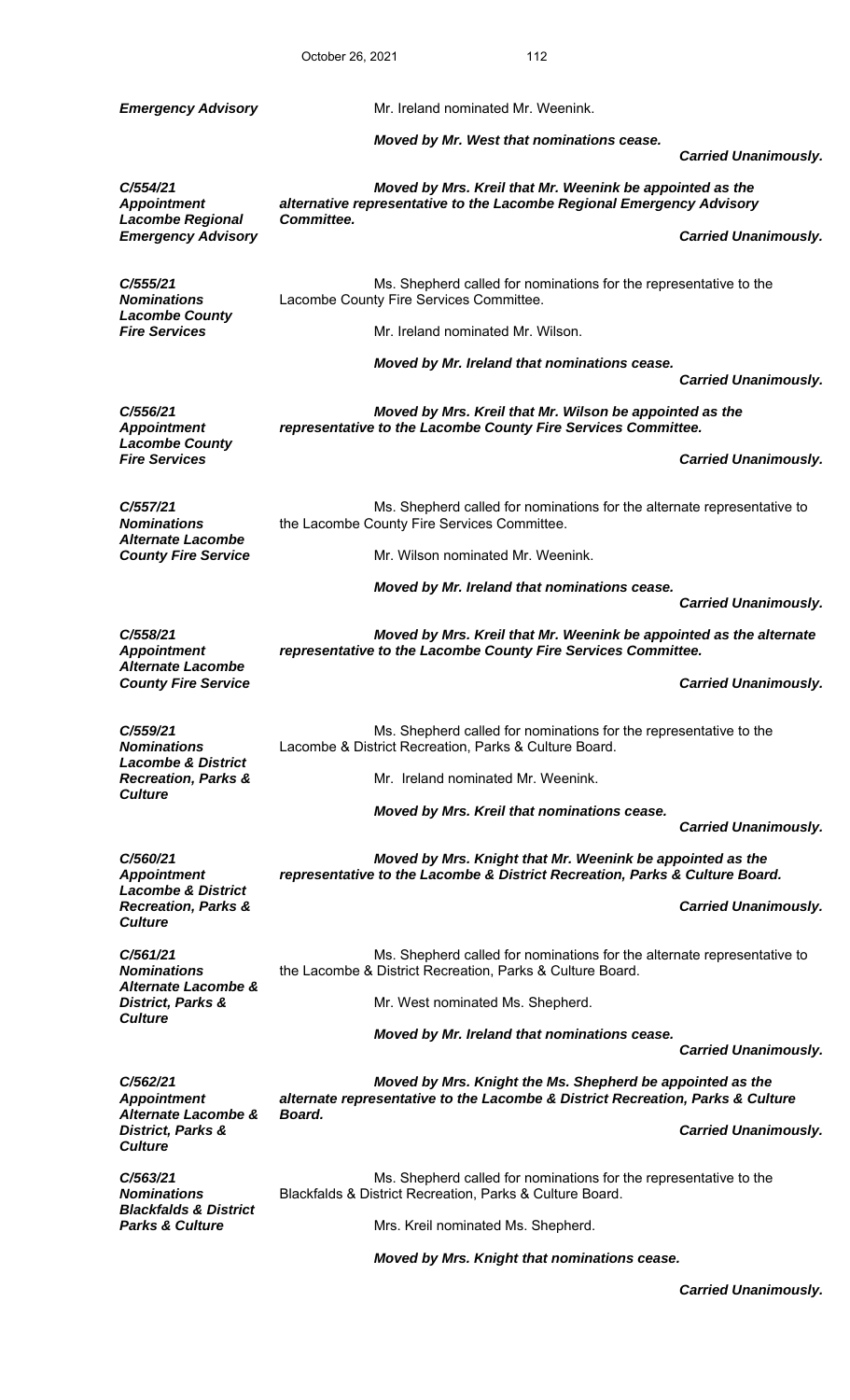|                                                                                   | October 26, 2021 |                                                                                | 112                                                                     |                             |
|-----------------------------------------------------------------------------------|------------------|--------------------------------------------------------------------------------|-------------------------------------------------------------------------|-----------------------------|
| <b>Emergency Advisory</b>                                                         |                  | Mr. Ireland nominated Mr. Weenink.                                             |                                                                         |                             |
|                                                                                   |                  | Moved by Mr. West that nominations cease.                                      |                                                                         | <b>Carried Unanimously.</b> |
| C/554/21<br><b>Appointment</b>                                                    |                  | alternative representative to the Lacombe Regional Emergency Advisory          | Moved by Mrs. Kreil that Mr. Weenink be appointed as the                |                             |
| <b>Lacombe Regional</b><br><b>Emergency Advisory</b>                              | Committee.       |                                                                                |                                                                         | <b>Carried Unanimously.</b> |
| C/555/21<br><b>Nominations</b><br><b>Lacombe County</b>                           |                  | Lacombe County Fire Services Committee.                                        | Ms. Shepherd called for nominations for the representative to the       |                             |
| <b>Fire Services</b>                                                              |                  | Mr. Ireland nominated Mr. Wilson.                                              |                                                                         |                             |
|                                                                                   |                  | Moved by Mr. Ireland that nominations cease.                                   |                                                                         | <b>Carried Unanimously.</b> |
| C/556/21<br><b>Appointment</b><br><b>Lacombe County</b>                           |                  | representative to the Lacombe County Fire Services Committee.                  | Moved by Mrs. Kreil that Mr. Wilson be appointed as the                 |                             |
| <b>Fire Services</b>                                                              |                  |                                                                                |                                                                         | <b>Carried Unanimously.</b> |
| C/557/21<br><b>Nominations</b><br><b>Alternate Lacombe</b>                        |                  | the Lacombe County Fire Services Committee.                                    | Ms. Shepherd called for nominations for the alternate representative to |                             |
| <b>County Fire Service</b>                                                        |                  | Mr. Wilson nominated Mr. Weenink.                                              |                                                                         |                             |
|                                                                                   |                  | Moved by Mr. Ireland that nominations cease.                                   |                                                                         | <b>Carried Unanimously.</b> |
| C/558/21<br><b>Appointment</b>                                                    |                  | representative to the Lacombe County Fire Services Committee.                  | Moved by Mrs. Kreil that Mr. Weenink be appointed as the alternate      |                             |
| <b>Alternate Lacombe</b><br><b>County Fire Service</b>                            |                  |                                                                                |                                                                         | <b>Carried Unanimously.</b> |
| C/559/21<br><b>Nominations</b>                                                    |                  | Lacombe & District Recreation, Parks & Culture Board.                          | Ms. Shepherd called for nominations for the representative to the       |                             |
| <b>Lacombe &amp; District</b><br><b>Recreation, Parks &amp;</b>                   |                  | Mr. Ireland nominated Mr. Weenink.                                             |                                                                         |                             |
| <b>Culture</b>                                                                    |                  | Moved by Mrs. Kreil that nominations cease.                                    |                                                                         | <b>Carried Unanimously.</b> |
| C/560/21<br><b>Appointment</b>                                                    |                  | representative to the Lacombe & District Recreation, Parks & Culture Board.    | Moved by Mrs. Knight that Mr. Weenink be appointed as the               |                             |
| <b>Lacombe &amp; District</b><br><b>Recreation, Parks &amp;</b><br><b>Culture</b> |                  |                                                                                |                                                                         | <b>Carried Unanimously.</b> |
| C/561/21<br><b>Nominations</b>                                                    |                  | the Lacombe & District Recreation, Parks & Culture Board.                      | Ms. Shepherd called for nominations for the alternate representative to |                             |
| Alternate Lacombe &<br>District, Parks &<br><b>Culture</b>                        |                  | Mr. West nominated Ms. Shepherd.                                               |                                                                         |                             |
|                                                                                   |                  | Moved by Mr. Ireland that nominations cease.                                   |                                                                         | <b>Carried Unanimously.</b> |
| C/562/21                                                                          |                  |                                                                                | Moved by Mrs. Knight the Ms. Shepherd be appointed as the               |                             |
| <b>Appointment</b><br>Alternate Lacombe &<br>District, Parks &                    | Board.           | alternate representative to the Lacombe & District Recreation, Parks & Culture |                                                                         | <b>Carried Unanimously.</b> |
| <b>Culture</b><br>C/563/21<br><b>Nominations</b>                                  |                  | Blackfalds & District Recreation, Parks & Culture Board.                       | Ms. Shepherd called for nominations for the representative to the       |                             |
| <b>Blackfalds &amp; District</b><br><b>Parks &amp; Culture</b>                    |                  | Mrs. Kreil nominated Ms. Shepherd.                                             |                                                                         |                             |

*Moved by Mrs. Knight that nominations cease.*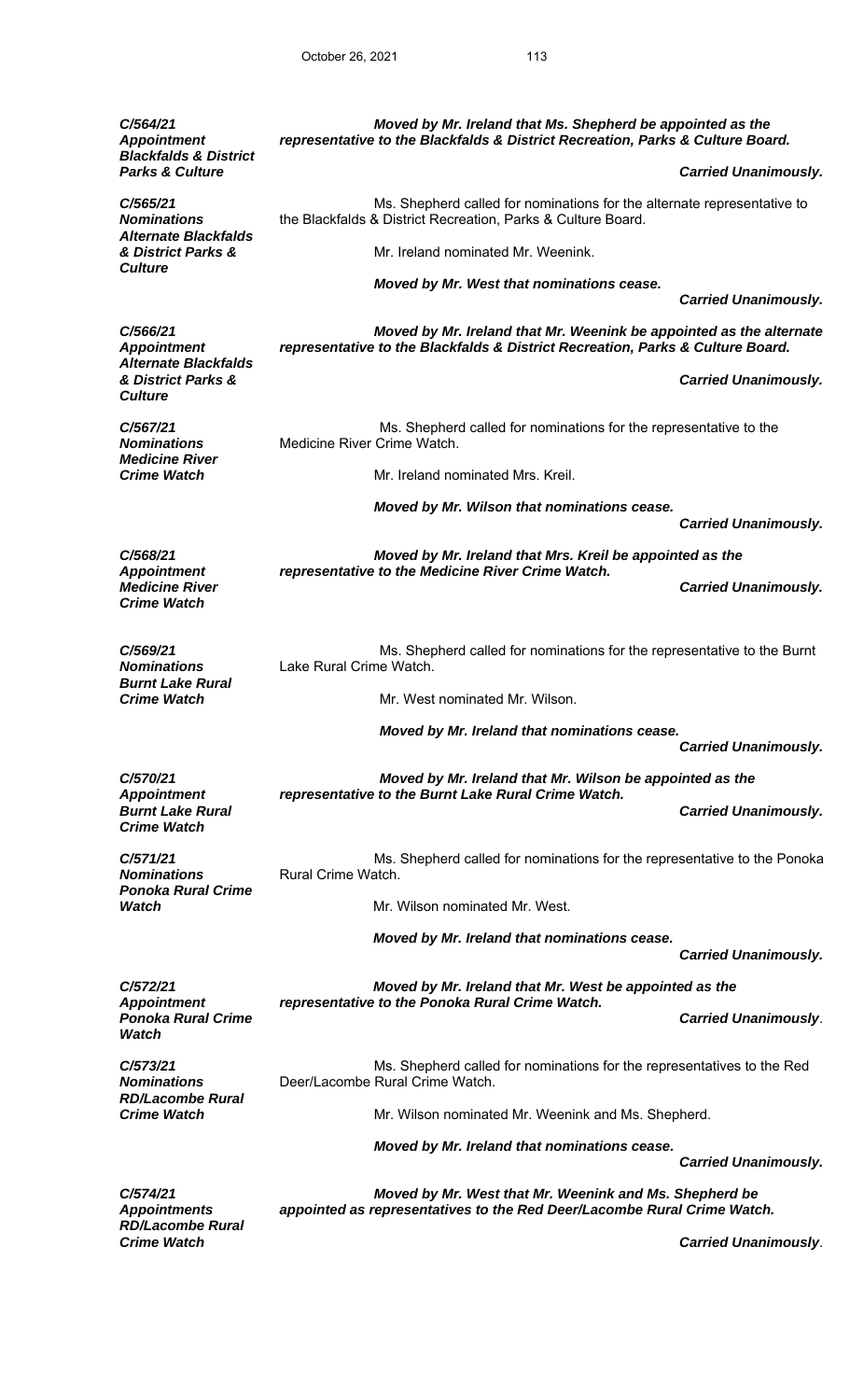*C/564/21 Appointment Moved by Mr. Ireland that Ms. Shepherd be appointed as the representative to the Blackfalds & District Recreation, Parks & Culture Board. Blackfalds & District*  **Parks & Culture Carried Unanimously. Parks & Culture Carried Unanimously.** *C/565/21 Nominations*  Ms. Shepherd called for nominations for the alternate representative to the Blackfalds & District Recreation, Parks & Culture Board. *Alternate Blackfalds & District Parks &* Mr. Ireland nominated Mr. Weenink. *Culture Moved by Mr. West that nominations cease. Carried Unanimously. C/566/21 Appointment Moved by Mr. Ireland that Mr. Weenink be appointed as the alternate representative to the Blackfalds & District Recreation, Parks & Culture Board. Alternate Blackfalds & District Parks & Carried Unanimously. Culture C/567/21 Nominations*  Ms. Shepherd called for nominations for the representative to the Medicine River Crime Watch. *Medicine River*  **Crime Watch** Mr. Ireland nominated Mrs. Kreil.  *Moved by Mr. Wilson that nominations cease. Carried Unanimously. C/568/21 Appointment Moved by Mr. Ireland that Mrs. Kreil be appointed as the representative to the Medicine River Crime Watch.*  **Medicine River Carried Unanimously. Medicine River Carried Unanimously. Carried Unanimously.** *Crime Watch C/569/21 Nominations*  Ms. Shepherd called for nominations for the representative to the Burnt Lake Rural Crime Watch. *Burnt Lake Rural*  **Crime Watch** Mr. West nominated Mr. Wilson. *Moved by Mr. Ireland that nominations cease. Carried Unanimously. C/570/21 Appointment Moved by Mr. Ireland that Mr. Wilson be appointed as the representative to the Burnt Lake Rural Crime Watch. Burnt Lake Rural Carried Unanimously. Crime Watch C/571/21 Nominations*  Ms. Shepherd called for nominations for the representative to the Ponoka Rural Crime Watch. *Ponoka Rural Crime Watch* Mr. Wilson nominated Mr. West. *Moved by Mr. Ireland that nominations cease. Carried Unanimously. C/572/21 Appointment Moved by Mr. Ireland that Mr. West be appointed as the representative to the Ponoka Rural Crime Watch. Ponoka Rural Crime Carried Unanimously*. *Watch C/573/21 Nominations*  Ms. Shepherd called for nominations for the representatives to the Red Deer/Lacombe Rural Crime Watch. *RD/Lacombe Rural*  **Crime Watch** Mr. Wilson nominated Mr. Weenink and Ms. Shepherd.  *Moved by Mr. Ireland that nominations cease. Carried Unanimously. C/574/21 Appointments Moved by Mr. West that Mr. Weenink and Ms. Shepherd be appointed as representatives to the Red Deer/Lacombe Rural Crime Watch. RD/Lacombe Rural Crime Watch Carried Unanimously*.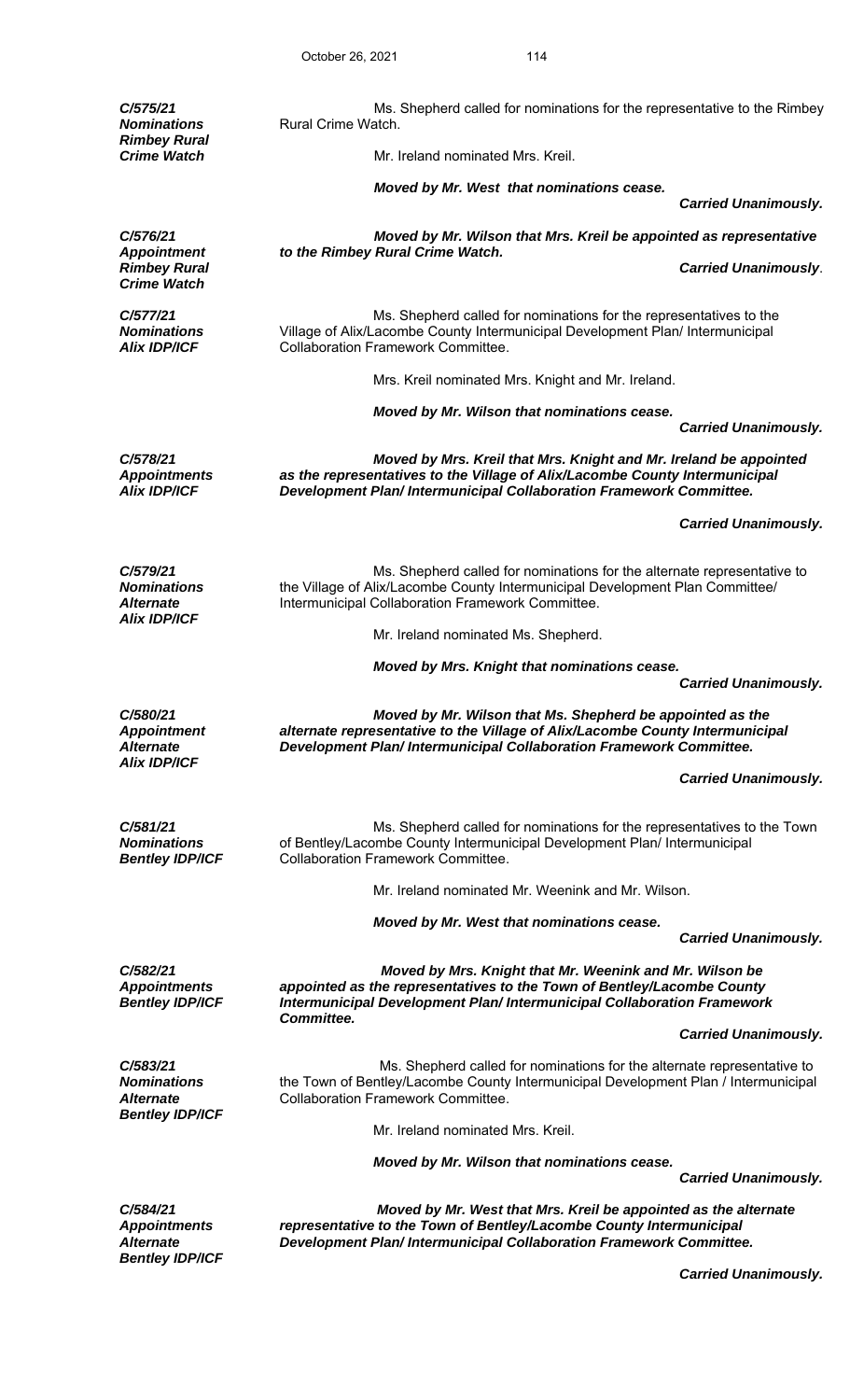| C/575/21<br><b>Nominations</b>                                                   | Ms. Shepherd called for nominations for the representative to the Rimbey<br>Rural Crime Watch.                                                                                                                             |                             |
|----------------------------------------------------------------------------------|----------------------------------------------------------------------------------------------------------------------------------------------------------------------------------------------------------------------------|-----------------------------|
| <b>Rimbey Rural</b><br><b>Crime Watch</b>                                        | Mr. Ireland nominated Mrs. Kreil.                                                                                                                                                                                          |                             |
|                                                                                  | Moved by Mr. West that nominations cease.                                                                                                                                                                                  | <b>Carried Unanimously.</b> |
| C/576/21                                                                         | Moved by Mr. Wilson that Mrs. Kreil be appointed as representative                                                                                                                                                         |                             |
| <b>Appointment</b><br><b>Rimbey Rural</b>                                        | to the Rimbey Rural Crime Watch.                                                                                                                                                                                           | <b>Carried Unanimously.</b> |
| <b>Crime Watch</b>                                                               |                                                                                                                                                                                                                            |                             |
| C/577/21<br><b>Nominations</b><br><b>Alix IDP/ICF</b>                            | Ms. Shepherd called for nominations for the representatives to the<br>Village of Alix/Lacombe County Intermunicipal Development Plan/ Intermunicipal<br><b>Collaboration Framework Committee.</b>                          |                             |
|                                                                                  | Mrs. Kreil nominated Mrs. Knight and Mr. Ireland.                                                                                                                                                                          |                             |
|                                                                                  | Moved by Mr. Wilson that nominations cease.                                                                                                                                                                                |                             |
|                                                                                  |                                                                                                                                                                                                                            | <b>Carried Unanimously.</b> |
| C/578/21<br><b>Appointments</b><br><b>Alix IDP/ICF</b>                           | Moved by Mrs. Kreil that Mrs. Knight and Mr. Ireland be appointed<br>as the representatives to the Village of Alix/Lacombe County Intermunicipal<br>Development Plan/ Intermunicipal Collaboration Framework Committee.    |                             |
|                                                                                  |                                                                                                                                                                                                                            | <b>Carried Unanimously.</b> |
| C/579/21<br><b>Nominations</b><br><i><b>Alternate</b></i><br><b>Alix IDP/ICF</b> | Ms. Shepherd called for nominations for the alternate representative to<br>the Village of Alix/Lacombe County Intermunicipal Development Plan Committee/<br>Intermunicipal Collaboration Framework Committee.              |                             |
|                                                                                  | Mr. Ireland nominated Ms. Shepherd.                                                                                                                                                                                        |                             |
|                                                                                  | Moved by Mrs. Knight that nominations cease.                                                                                                                                                                               |                             |
|                                                                                  |                                                                                                                                                                                                                            | <b>Carried Unanimously.</b> |
| C/580/21<br><b>Appointment</b><br><b>Alternate</b><br><b>Alix IDP/ICF</b>        | Moved by Mr. Wilson that Ms. Shepherd be appointed as the<br>alternate representative to the Village of Alix/Lacombe County Intermunicipal<br>Development Plan/ Intermunicipal Collaboration Framework Committee.          |                             |
|                                                                                  |                                                                                                                                                                                                                            | <b>Carried Unanimously.</b> |
| C/581/21<br><b>Nominations</b><br><b>Bentley IDP/ICF</b>                         | Ms. Shepherd called for nominations for the representatives to the Town<br>of Bentley/Lacombe County Intermunicipal Development Plan/ Intermunicipal<br><b>Collaboration Framework Committee.</b>                          |                             |
|                                                                                  | Mr. Ireland nominated Mr. Weenink and Mr. Wilson.                                                                                                                                                                          |                             |
|                                                                                  | Moved by Mr. West that nominations cease.                                                                                                                                                                                  | <b>Carried Unanimously.</b> |
| C/582/21<br><b>Appointments</b><br><b>Bentley IDP/ICF</b>                        | Moved by Mrs. Knight that Mr. Weenink and Mr. Wilson be<br>appointed as the representatives to the Town of Bentley/Lacombe County<br>Intermunicipal Development Plan/ Intermunicipal Collaboration Framework<br>Committee. |                             |
|                                                                                  |                                                                                                                                                                                                                            | <b>Carried Unanimously.</b> |
| C/583/21<br><b>Nominations</b><br><b>Alternate</b><br><b>Bentley IDP/ICF</b>     | Ms. Shepherd called for nominations for the alternate representative to<br>the Town of Bentley/Lacombe County Intermunicipal Development Plan / Intermunicipal<br><b>Collaboration Framework Committee.</b>                |                             |
|                                                                                  | Mr. Ireland nominated Mrs. Kreil.                                                                                                                                                                                          |                             |
|                                                                                  | Moved by Mr. Wilson that nominations cease.                                                                                                                                                                                | <b>Carried Unanimously.</b> |
| C/584/21<br><b>Appointments</b><br><b>Alternate</b><br><b>Bentley IDP/ICF</b>    | Moved by Mr. West that Mrs. Kreil be appointed as the alternate<br>representative to the Town of Bentley/Lacombe County Intermunicipal<br>Development Plan/ Intermunicipal Collaboration Framework Committee.              |                             |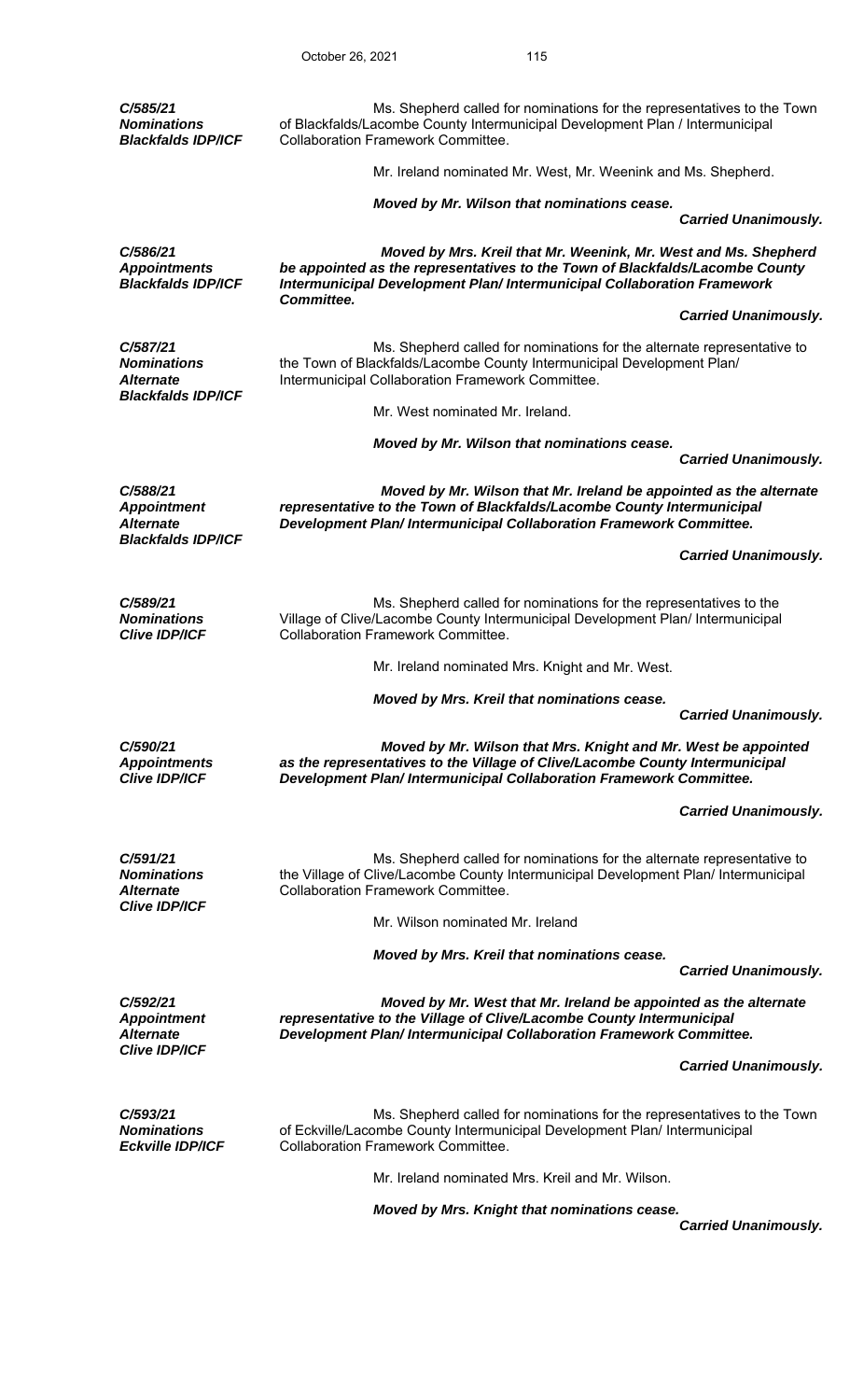| C/585/21<br><b>Nominations</b><br><b>Blackfalds IDP/ICF</b>                     | Ms. Shepherd called for nominations for the representatives to the Town<br>of Blackfalds/Lacombe County Intermunicipal Development Plan / Intermunicipal<br><b>Collaboration Framework Committee.</b>                      |                             |
|---------------------------------------------------------------------------------|----------------------------------------------------------------------------------------------------------------------------------------------------------------------------------------------------------------------------|-----------------------------|
|                                                                                 | Mr. Ireland nominated Mr. West, Mr. Weenink and Ms. Shepherd.                                                                                                                                                              |                             |
|                                                                                 | Moved by Mr. Wilson that nominations cease.                                                                                                                                                                                | <b>Carried Unanimously.</b> |
| C/586/21<br><b>Appointments</b><br><b>Blackfalds IDP/ICF</b>                    | Moved by Mrs. Kreil that Mr. Weenink, Mr. West and Ms. Shepherd<br>be appointed as the representatives to the Town of Blackfalds/Lacombe County<br>Intermunicipal Development Plan/ Intermunicipal Collaboration Framework |                             |
|                                                                                 | Committee.                                                                                                                                                                                                                 | <b>Carried Unanimously.</b> |
| C/587/21<br><b>Nominations</b><br><b>Alternate</b><br><b>Blackfalds IDP/ICF</b> | Ms. Shepherd called for nominations for the alternate representative to<br>the Town of Blackfalds/Lacombe County Intermunicipal Development Plan/<br>Intermunicipal Collaboration Framework Committee.                     |                             |
|                                                                                 | Mr. West nominated Mr. Ireland.                                                                                                                                                                                            |                             |
|                                                                                 | Moved by Mr. Wilson that nominations cease.                                                                                                                                                                                | <b>Carried Unanimously.</b> |
| C/588/21<br><b>Appointment</b><br><b>Alternate</b>                              | Moved by Mr. Wilson that Mr. Ireland be appointed as the alternate<br>representative to the Town of Blackfalds/Lacombe County Intermunicipal<br>Development Plan/ Intermunicipal Collaboration Framework Committee.        |                             |
| <b>Blackfalds IDP/ICF</b>                                                       |                                                                                                                                                                                                                            | <b>Carried Unanimously.</b> |
| C/589/21<br><b>Nominations</b><br><b>Clive IDP/ICF</b>                          | Ms. Shepherd called for nominations for the representatives to the<br>Village of Clive/Lacombe County Intermunicipal Development Plan/ Intermunicipal<br><b>Collaboration Framework Committee.</b>                         |                             |
|                                                                                 | Mr. Ireland nominated Mrs. Knight and Mr. West.                                                                                                                                                                            |                             |
|                                                                                 | Moved by Mrs. Kreil that nominations cease.                                                                                                                                                                                | <b>Carried Unanimously.</b> |
| C/590/21<br><b>Appointments</b><br><b>Clive IDP/ICF</b>                         | Moved by Mr. Wilson that Mrs. Knight and Mr. West be appointed<br>as the representatives to the Village of Clive/Lacombe County Intermunicipal<br>Development Plan/ Intermunicipal Collaboration Framework Committee.      |                             |
|                                                                                 |                                                                                                                                                                                                                            | <b>Carried Unanimously.</b> |
| C/591/21<br><b>Nominations</b><br><b>Alternate</b><br><b>Clive IDP/ICF</b>      | Ms. Shepherd called for nominations for the alternate representative to<br>the Village of Clive/Lacombe County Intermunicipal Development Plan/ Intermunicipal<br><b>Collaboration Framework Committee.</b>                |                             |
|                                                                                 | Mr. Wilson nominated Mr. Ireland                                                                                                                                                                                           |                             |
|                                                                                 | Moved by Mrs. Kreil that nominations cease.                                                                                                                                                                                | <b>Carried Unanimously.</b> |
| C/592/21<br><b>Appointment</b><br><b>Alternate</b>                              | Moved by Mr. West that Mr. Ireland be appointed as the alternate<br>representative to the Village of Clive/Lacombe County Intermunicipal<br>Development Plan/ Intermunicipal Collaboration Framework Committee.            |                             |
| <b>Clive IDP/ICF</b>                                                            |                                                                                                                                                                                                                            | <b>Carried Unanimously.</b> |
| C/593/21<br><b>Nominations</b><br><b>Eckville IDP/ICF</b>                       | Ms. Shepherd called for nominations for the representatives to the Town<br>of Eckville/Lacombe County Intermunicipal Development Plan/ Intermunicipal<br><b>Collaboration Framework Committee.</b>                         |                             |
|                                                                                 | Mr. Ireland nominated Mrs. Kreil and Mr. Wilson.                                                                                                                                                                           |                             |
|                                                                                 | Moved by Mrs. Knight that nominations cease.                                                                                                                                                                               |                             |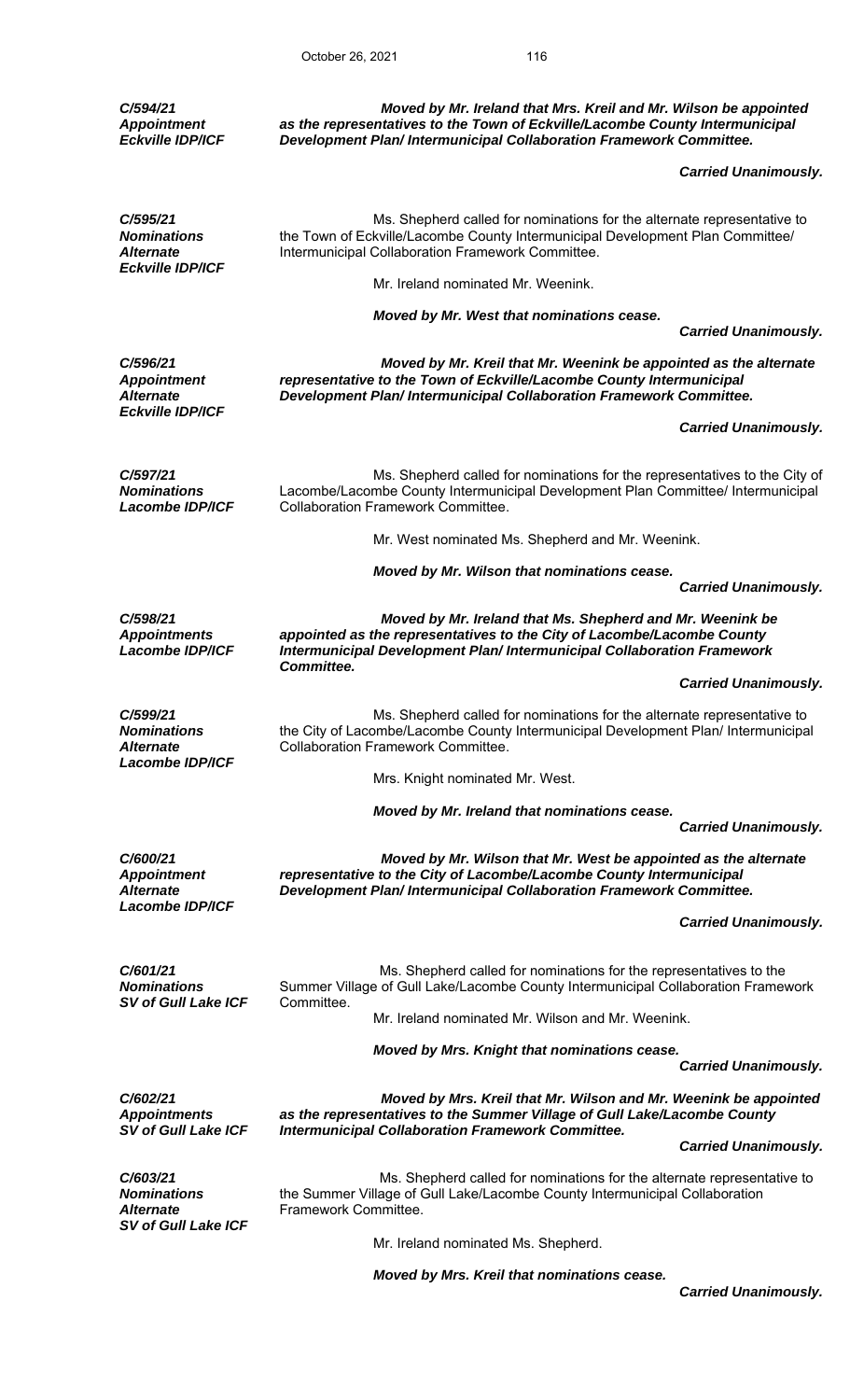*C/594/21 Appointment Eckville IDP/ICF Moved by Mr. Ireland that Mrs. Kreil and Mr. Wilson be appointed as the representatives to the Town of Eckville/Lacombe County Intermunicipal Development Plan/ Intermunicipal Collaboration Framework Committee. Carried Unanimously. C/595/21 Nominations Alternate*  Ms. Shepherd called for nominations for the alternate representative to the Town of Eckville/Lacombe County Intermunicipal Development Plan Committee/ Intermunicipal Collaboration Framework Committee. *Eckville IDP/ICF*  Mr. Ireland nominated Mr. Weenink. *Moved by Mr. West that nominations cease. Carried Unanimously. C/596/21 Appointment Alternate Moved by Mr. Kreil that Mr. Weenink be appointed as the alternate representative to the Town of Eckville/Lacombe County Intermunicipal Development Plan/ Intermunicipal Collaboration Framework Committee. Eckville IDP/ICF Carried Unanimously. C/597/21 Nominations Lacombe IDP/ICF*  Ms. Shepherd called for nominations for the representatives to the City of Lacombe/Lacombe County Intermunicipal Development Plan Committee/ Intermunicipal Collaboration Framework Committee. Mr. West nominated Ms. Shepherd and Mr. Weenink. *Moved by Mr. Wilson that nominations cease. Carried Unanimously. C/598/21 Appointments Lacombe IDP/ICF Moved by Mr. Ireland that Ms. Shepherd and Mr. Weenink be appointed as the representatives to the City of Lacombe/Lacombe County Intermunicipal Development Plan/ Intermunicipal Collaboration Framework Committee. Carried Unanimously. C/599/21 Nominations Alternate*  Ms. Shepherd called for nominations for the alternate representative to the City of Lacombe/Lacombe County Intermunicipal Development Plan/ Intermunicipal Collaboration Framework Committee. *Lacombe IDP/ICF*  Mrs. Knight nominated Mr. West. *Moved by Mr. Ireland that nominations cease. Carried Unanimously. C/600/21 Appointment Alternate Moved by Mr. Wilson that Mr. West be appointed as the alternate representative to the City of Lacombe/Lacombe County Intermunicipal Development Plan/ Intermunicipal Collaboration Framework Committee. Lacombe IDP/ICF Carried Unanimously. C/601/21 Nominations SV of Gull Lake ICF*  Ms. Shepherd called for nominations for the representatives to the Summer Village of Gull Lake/Lacombe County Intermunicipal Collaboration Framework Committee. Mr. Ireland nominated Mr. Wilson and Mr. Weenink. *Moved by Mrs. Knight that nominations cease. Carried Unanimously. C/602/21 Appointments SV of Gull Lake ICF Moved by Mrs. Kreil that Mr. Wilson and Mr. Weenink be appointed as the representatives to the Summer Village of Gull Lake/Lacombe County Intermunicipal Collaboration Framework Committee. Carried Unanimously. C/603/21 Nominations Alternate*  Ms. Shepherd called for nominations for the alternate representative to the Summer Village of Gull Lake/Lacombe County Intermunicipal Collaboration Framework Committee. *SV of Gull Lake ICF*  Mr. Ireland nominated Ms. Shepherd. *Moved by Mrs. Kreil that nominations cease. Carried Unanimously.*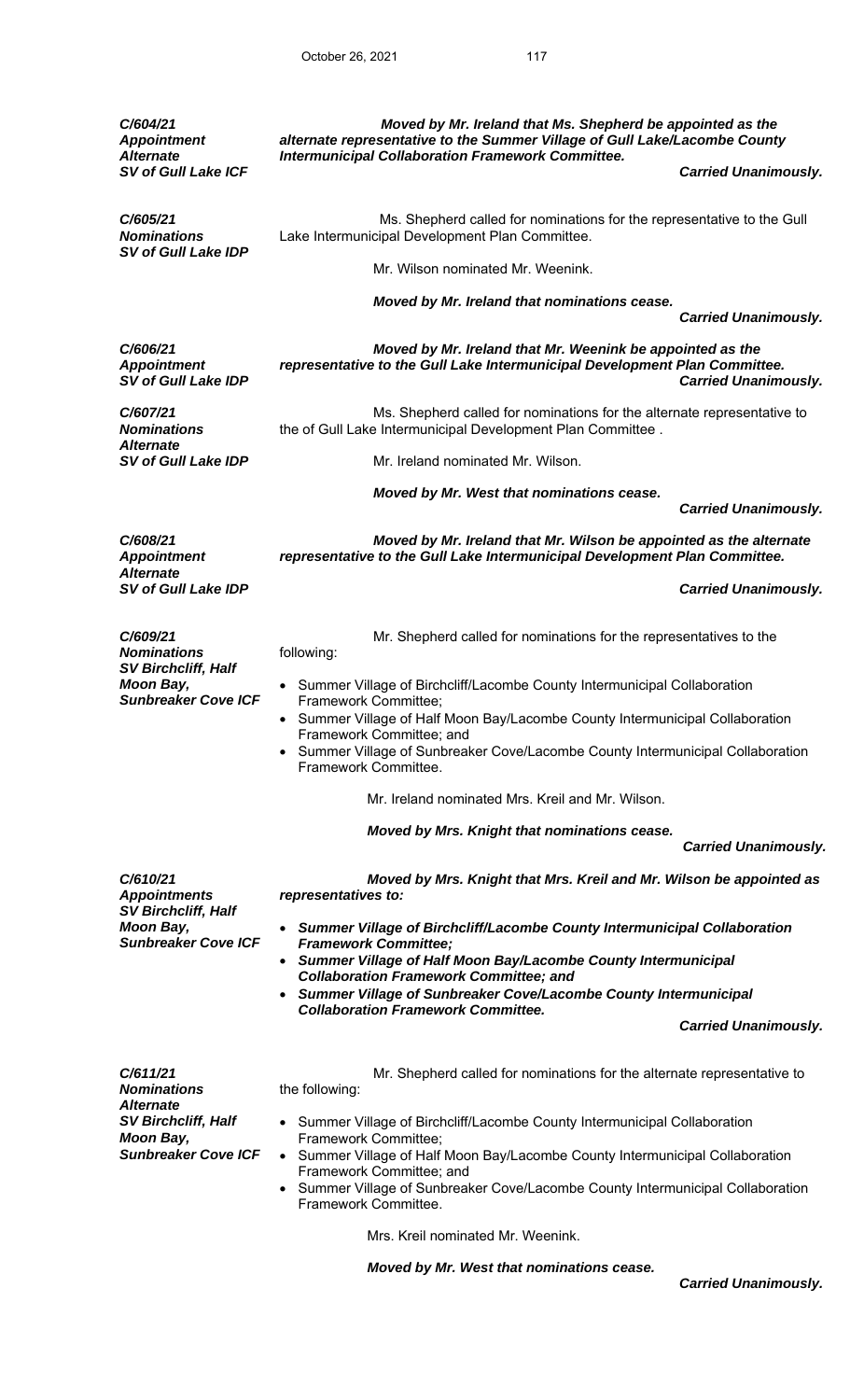| C/604/21<br><b>Appointment</b><br><b>Alternate</b>                                                      | Moved by Mr. Ireland that Ms. Shepherd be appointed as the<br>alternate representative to the Summer Village of Gull Lake/Lacombe County<br><b>Intermunicipal Collaboration Framework Committee.</b>               |                             |  |
|---------------------------------------------------------------------------------------------------------|--------------------------------------------------------------------------------------------------------------------------------------------------------------------------------------------------------------------|-----------------------------|--|
| <b>SV of Gull Lake ICF</b>                                                                              |                                                                                                                                                                                                                    | <b>Carried Unanimously.</b> |  |
| C/605/21<br><b>Nominations</b><br><b>SV of Gull Lake IDP</b>                                            | Ms. Shepherd called for nominations for the representative to the Gull<br>Lake Intermunicipal Development Plan Committee.                                                                                          |                             |  |
|                                                                                                         | Mr. Wilson nominated Mr. Weenink.                                                                                                                                                                                  |                             |  |
|                                                                                                         | Moved by Mr. Ireland that nominations cease.                                                                                                                                                                       | <b>Carried Unanimously.</b> |  |
| C/606/21<br><b>Appointment</b><br><b>SV of Gull Lake IDP</b>                                            | Moved by Mr. Ireland that Mr. Weenink be appointed as the<br>representative to the Gull Lake Intermunicipal Development Plan Committee.                                                                            | <b>Carried Unanimously.</b> |  |
| C/607/21<br><b>Nominations</b>                                                                          | Ms. Shepherd called for nominations for the alternate representative to<br>the of Gull Lake Intermunicipal Development Plan Committee.                                                                             |                             |  |
| <b>Alternate</b><br><b>SV of Gull Lake IDP</b>                                                          | Mr. Ireland nominated Mr. Wilson.                                                                                                                                                                                  |                             |  |
|                                                                                                         | Moved by Mr. West that nominations cease.                                                                                                                                                                          | <b>Carried Unanimously.</b> |  |
| C/608/21<br><b>Appointment</b><br><b>Alternate</b>                                                      | Moved by Mr. Ireland that Mr. Wilson be appointed as the alternate<br>representative to the Gull Lake Intermunicipal Development Plan Committee.                                                                   |                             |  |
| <b>SV of Gull Lake IDP</b>                                                                              |                                                                                                                                                                                                                    | <b>Carried Unanimously.</b> |  |
| C/609/21<br><b>Nominations</b><br><b>SV Birchcliff, Half</b><br>Moon Bay,<br><b>Sunbreaker Cove ICF</b> | Mr. Shepherd called for nominations for the representatives to the<br>following:                                                                                                                                   |                             |  |
|                                                                                                         | • Summer Village of Birchcliff/Lacombe County Intermunicipal Collaboration<br>Framework Committee;<br>Summer Village of Half Moon Bay/Lacombe County Intermunicipal Collaboration                                  |                             |  |
|                                                                                                         | Framework Committee; and<br>Summer Village of Sunbreaker Cove/Lacombe County Intermunicipal Collaboration<br>Framework Committee.                                                                                  |                             |  |
|                                                                                                         | Mr. Ireland nominated Mrs. Kreil and Mr. Wilson.                                                                                                                                                                   |                             |  |
|                                                                                                         | Moved by Mrs. Knight that nominations cease.                                                                                                                                                                       | <b>Carried Unanimously.</b> |  |
| C/610/21<br><b>Appointments</b>                                                                         | Moved by Mrs. Knight that Mrs. Kreil and Mr. Wilson be appointed as<br>representatives to:                                                                                                                         |                             |  |
| <b>SV Birchcliff, Half</b><br><b>Moon Bay,</b><br><b>Sunbreaker Cove ICF</b>                            | • Summer Village of Birchcliff/Lacombe County Intermunicipal Collaboration<br><b>Framework Committee;</b><br>Summer Village of Half Moon Bay/Lacombe County Intermunicipal                                         |                             |  |
|                                                                                                         | <b>Collaboration Framework Committee; and</b><br>Summer Village of Sunbreaker Cove/Lacombe County Intermunicipal                                                                                                   |                             |  |
|                                                                                                         | <b>Collaboration Framework Committee.</b>                                                                                                                                                                          | <b>Carried Unanimously.</b> |  |
| C/611/21<br><b>Nominations</b>                                                                          | Mr. Shepherd called for nominations for the alternate representative to<br>the following:                                                                                                                          |                             |  |
| <b>Alternate</b><br><b>SV Birchcliff, Half</b><br><b>Moon Bay,</b>                                      | • Summer Village of Birchcliff/Lacombe County Intermunicipal Collaboration<br>Framework Committee;                                                                                                                 |                             |  |
| <b>Sunbreaker Cove ICF</b>                                                                              | • Summer Village of Half Moon Bay/Lacombe County Intermunicipal Collaboration<br>Framework Committee; and<br>Summer Village of Sunbreaker Cove/Lacombe County Intermunicipal Collaboration<br>Framework Committee. |                             |  |
|                                                                                                         | Mrs. Kreil nominated Mr. Weenink.                                                                                                                                                                                  |                             |  |

*Moved by Mr. West that nominations cease.*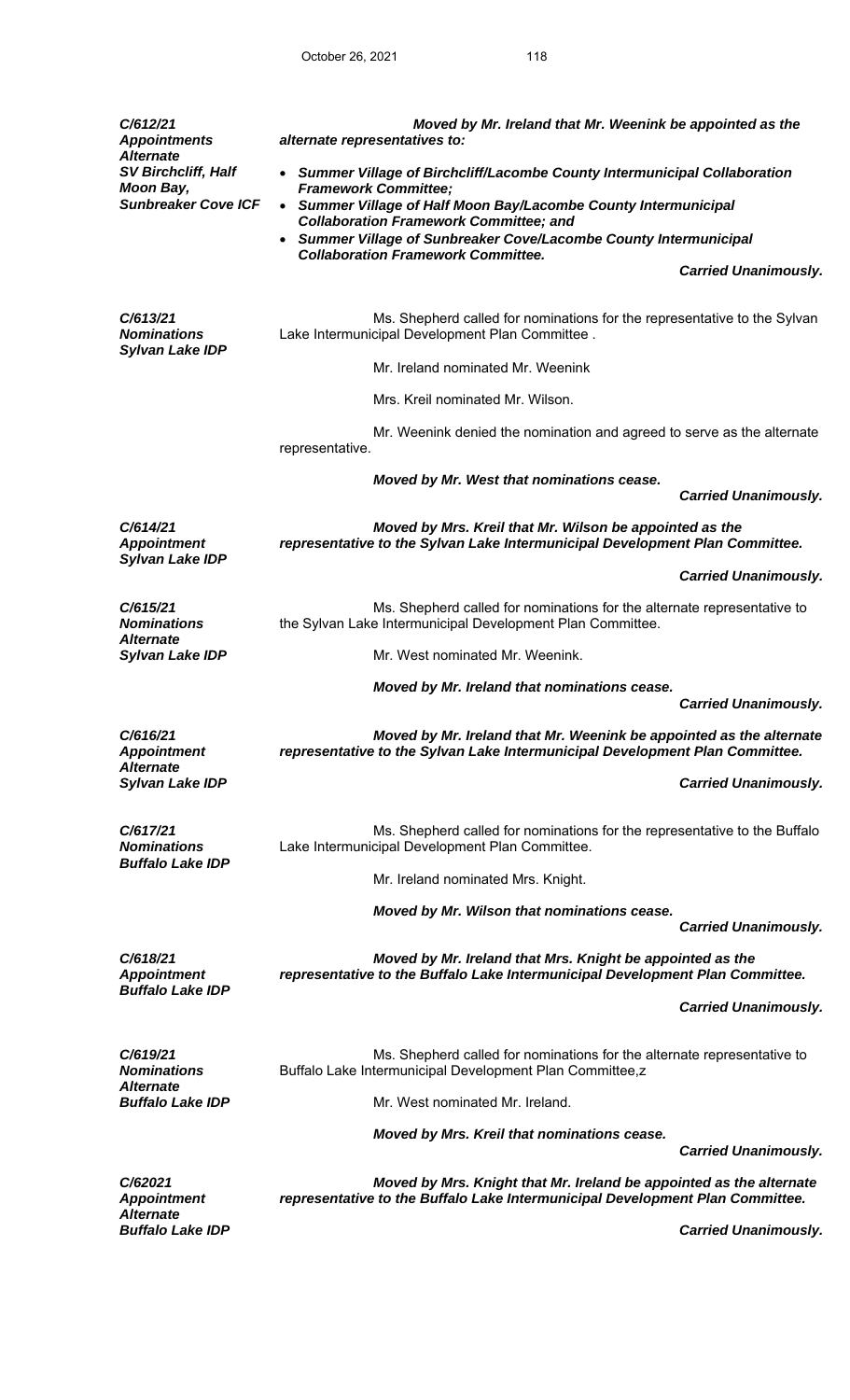| C/612/21<br><b>Appointments</b><br><b>Alternate</b>                          | Moved by Mr. Ireland that Mr. Weenink be appointed as the<br>alternate representatives to:                                                                                 |                             |
|------------------------------------------------------------------------------|----------------------------------------------------------------------------------------------------------------------------------------------------------------------------|-----------------------------|
| <b>SV Birchcliff, Half</b><br><b>Moon Bay,</b><br><b>Sunbreaker Cove ICF</b> | • Summer Village of Birchcliff/Lacombe County Intermunicipal Collaboration<br><b>Framework Committee;</b><br>Summer Village of Half Moon Bay/Lacombe County Intermunicipal |                             |
|                                                                              | <b>Collaboration Framework Committee; and</b><br>Summer Village of Sunbreaker Cove/Lacombe County Intermunicipal<br><b>Collaboration Framework Committee.</b>              |                             |
|                                                                              |                                                                                                                                                                            | <b>Carried Unanimously.</b> |
| C/613/21<br><b>Nominations</b><br><b>Sylvan Lake IDP</b>                     | Ms. Shepherd called for nominations for the representative to the Sylvan<br>Lake Intermunicipal Development Plan Committee.                                                |                             |
|                                                                              | Mr. Ireland nominated Mr. Weenink                                                                                                                                          |                             |
|                                                                              | Mrs. Kreil nominated Mr. Wilson.                                                                                                                                           |                             |
|                                                                              | Mr. Weenink denied the nomination and agreed to serve as the alternate<br>representative.                                                                                  |                             |
|                                                                              | Moved by Mr. West that nominations cease.                                                                                                                                  | <b>Carried Unanimously.</b> |
| C/614/21<br><b>Appointment</b>                                               | Moved by Mrs. Kreil that Mr. Wilson be appointed as the<br>representative to the Sylvan Lake Intermunicipal Development Plan Committee.                                    |                             |
| <b>Sylvan Lake IDP</b>                                                       |                                                                                                                                                                            | <b>Carried Unanimously.</b> |
| C/615/21<br><b>Nominations</b>                                               | Ms. Shepherd called for nominations for the alternate representative to<br>the Sylvan Lake Intermunicipal Development Plan Committee.                                      |                             |
| <b>Alternate</b><br><b>Sylvan Lake IDP</b>                                   | Mr. West nominated Mr. Weenink.                                                                                                                                            |                             |
|                                                                              | Moved by Mr. Ireland that nominations cease.                                                                                                                               | <b>Carried Unanimously.</b> |
| C/616/21<br><b>Appointment</b>                                               | Moved by Mr. Ireland that Mr. Weenink be appointed as the alternate<br>representative to the Sylvan Lake Intermunicipal Development Plan Committee.                        |                             |
| <b>Alternate</b><br><b>Sylvan Lake IDP</b>                                   |                                                                                                                                                                            | <b>Carried Unanimously.</b> |
| C/617/21<br><b>Nominations</b>                                               | Ms. Shepherd called for nominations for the representative to the Buffalo<br>Lake Intermunicipal Development Plan Committee.                                               |                             |
| <b>Buffalo Lake IDP</b>                                                      | Mr. Ireland nominated Mrs. Knight.                                                                                                                                         |                             |
|                                                                              | Moved by Mr. Wilson that nominations cease.                                                                                                                                | <b>Carried Unanimously.</b> |
| C/618/21<br><b>Appointment</b>                                               | Moved by Mr. Ireland that Mrs. Knight be appointed as the<br>representative to the Buffalo Lake Intermunicipal Development Plan Committee.                                 |                             |
| <b>Buffalo Lake IDP</b>                                                      |                                                                                                                                                                            | <b>Carried Unanimously.</b> |
| C/619/21<br><b>Nominations</b><br><b>Alternate</b>                           | Ms. Shepherd called for nominations for the alternate representative to<br>Buffalo Lake Intermunicipal Development Plan Committee,z                                        |                             |
| <b>Buffalo Lake IDP</b>                                                      | Mr. West nominated Mr. Ireland.                                                                                                                                            |                             |
|                                                                              | Moved by Mrs. Kreil that nominations cease.                                                                                                                                | <b>Carried Unanimously.</b> |
| C/62021<br><b>Appointment</b>                                                | Moved by Mrs. Knight that Mr. Ireland be appointed as the alternate<br>representative to the Buffalo Lake Intermunicipal Development Plan Committee.                       |                             |
| <b>Alternate</b><br><b>Buffalo Lake IDP</b>                                  |                                                                                                                                                                            | <b>Carried Unanimously.</b> |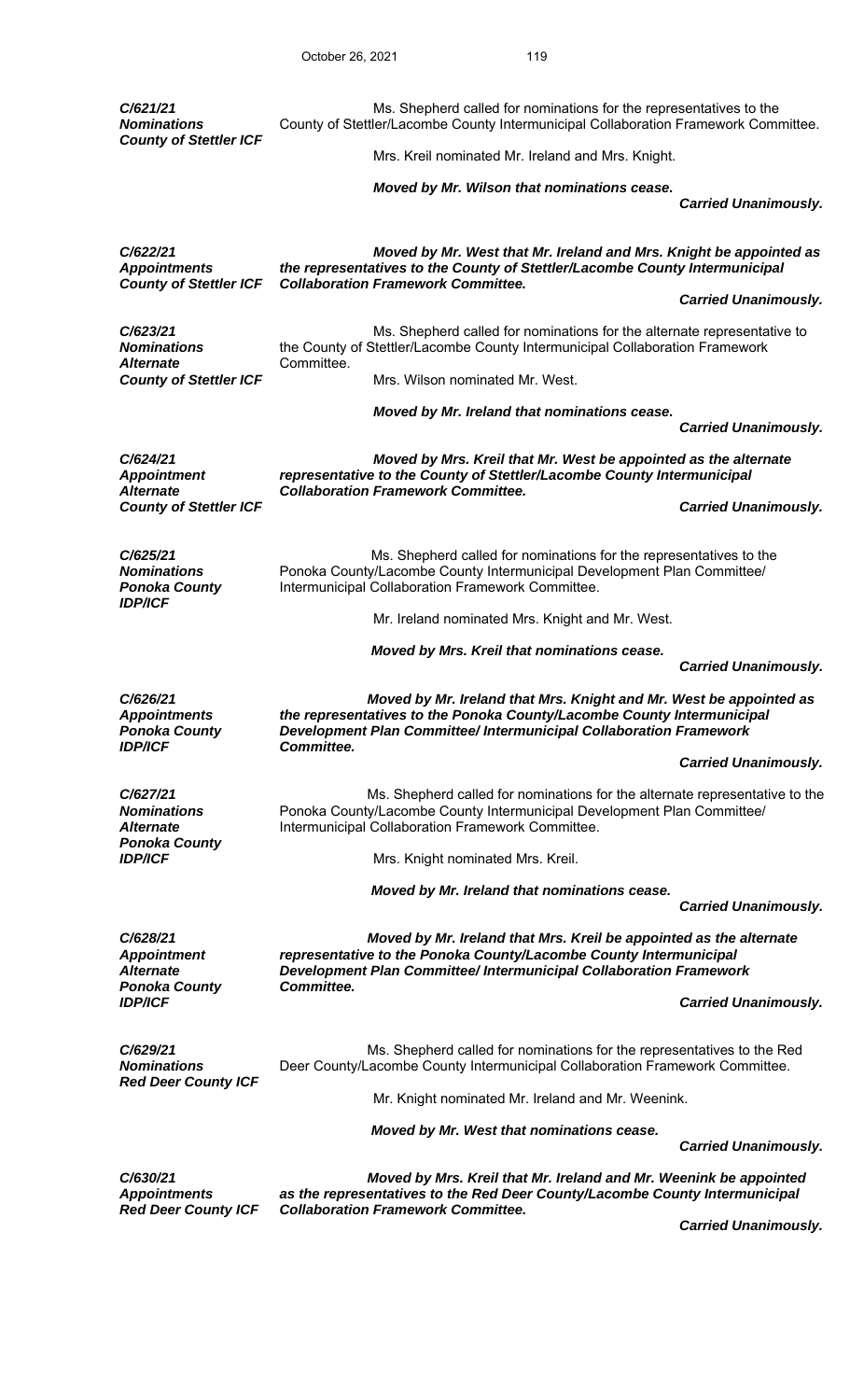| C/621/21<br><b>Nominations</b><br><b>County of Stettler ICF</b>            | Ms. Shepherd called for nominations for the representatives to the<br>County of Stettler/Lacombe County Intermunicipal Collaboration Framework Committee.                                                                        |                             |
|----------------------------------------------------------------------------|----------------------------------------------------------------------------------------------------------------------------------------------------------------------------------------------------------------------------------|-----------------------------|
|                                                                            | Mrs. Kreil nominated Mr. Ireland and Mrs. Knight.                                                                                                                                                                                |                             |
|                                                                            | Moved by Mr. Wilson that nominations cease.                                                                                                                                                                                      | <b>Carried Unanimously.</b> |
| C/622/21<br><b>Appointments</b><br><b>County of Stettler ICF</b>           | Moved by Mr. West that Mr. Ireland and Mrs. Knight be appointed as<br>the representatives to the County of Stettler/Lacombe County Intermunicipal<br><b>Collaboration Framework Committee.</b>                                   |                             |
|                                                                            |                                                                                                                                                                                                                                  | <b>Carried Unanimously.</b> |
| C/623/21<br><b>Nominations</b><br><b>Alternate</b>                         | Ms. Shepherd called for nominations for the alternate representative to<br>the County of Stettler/Lacombe County Intermunicipal Collaboration Framework<br>Committee.                                                            |                             |
| <b>County of Stettler ICF</b>                                              | Mrs. Wilson nominated Mr. West.                                                                                                                                                                                                  |                             |
|                                                                            | Moved by Mr. Ireland that nominations cease.                                                                                                                                                                                     | <b>Carried Unanimously.</b> |
| C/624/21<br><b>Appointment</b><br><b>Alternate</b>                         | Moved by Mrs. Kreil that Mr. West be appointed as the alternate<br>representative to the County of Stettler/Lacombe County Intermunicipal<br><b>Collaboration Framework Committee.</b>                                           |                             |
| <b>County of Stettler ICF</b>                                              |                                                                                                                                                                                                                                  | <b>Carried Unanimously.</b> |
| C/625/21<br><b>Nominations</b><br><b>Ponoka County</b>                     | Ms. Shepherd called for nominations for the representatives to the<br>Ponoka County/Lacombe County Intermunicipal Development Plan Committee/<br>Intermunicipal Collaboration Framework Committee.                               |                             |
| <b>IDP/ICF</b>                                                             | Mr. Ireland nominated Mrs. Knight and Mr. West.                                                                                                                                                                                  |                             |
|                                                                            | Moved by Mrs. Kreil that nominations cease.                                                                                                                                                                                      | <b>Carried Unanimously.</b> |
| C/626/21<br><b>Appointments</b><br><b>Ponoka County</b>                    | Moved by Mr. Ireland that Mrs. Knight and Mr. West be appointed as<br>the representatives to the Ponoka County/Lacombe County Intermunicipal<br>Development Plan Committee/ Intermunicipal Collaboration Framework<br>Committee. |                             |
| <b>IDP/ICF</b>                                                             |                                                                                                                                                                                                                                  | <b>Carried Unanimously.</b> |
| C/627/21<br><b>Nominations</b><br><b>Alternate</b><br><b>Ponoka County</b> | Ms. Shepherd called for nominations for the alternate representative to the<br>Ponoka County/Lacombe County Intermunicipal Development Plan Committee/<br>Intermunicipal Collaboration Framework Committee.                      |                             |
| <b>IDP/ICF</b>                                                             | Mrs. Knight nominated Mrs. Kreil.                                                                                                                                                                                                |                             |
|                                                                            | Moved by Mr. Ireland that nominations cease.                                                                                                                                                                                     | <b>Carried Unanimously.</b> |
| C/628/21<br><b>Appointment</b><br><b>Alternate</b><br><b>Ponoka County</b> | Moved by Mr. Ireland that Mrs. Kreil be appointed as the alternate<br>representative to the Ponoka County/Lacombe County Intermunicipal<br>Development Plan Committee/ Intermunicipal Collaboration Framework<br>Committee.      |                             |
| <b>IDP/ICF</b>                                                             |                                                                                                                                                                                                                                  | <b>Carried Unanimously.</b> |
| C/629/21<br><b>Nominations</b><br><b>Red Deer County ICF</b>               | Ms. Shepherd called for nominations for the representatives to the Red<br>Deer County/Lacombe County Intermunicipal Collaboration Framework Committee.                                                                           |                             |
|                                                                            | Mr. Knight nominated Mr. Ireland and Mr. Weenink.                                                                                                                                                                                |                             |
|                                                                            | Moved by Mr. West that nominations cease.                                                                                                                                                                                        | <b>Carried Unanimously.</b> |
| C/630/21<br><b>Appointments</b>                                            | Moved by Mrs. Kreil that Mr. Ireland and Mr. Weenink be appointed<br>as the representatives to the Red Deer County/Lacombe County Intermunicipal                                                                                 |                             |
| <b>Red Deer County ICF</b>                                                 | <b>Collaboration Framework Committee.</b>                                                                                                                                                                                        | <b>Carried Unanimously.</b> |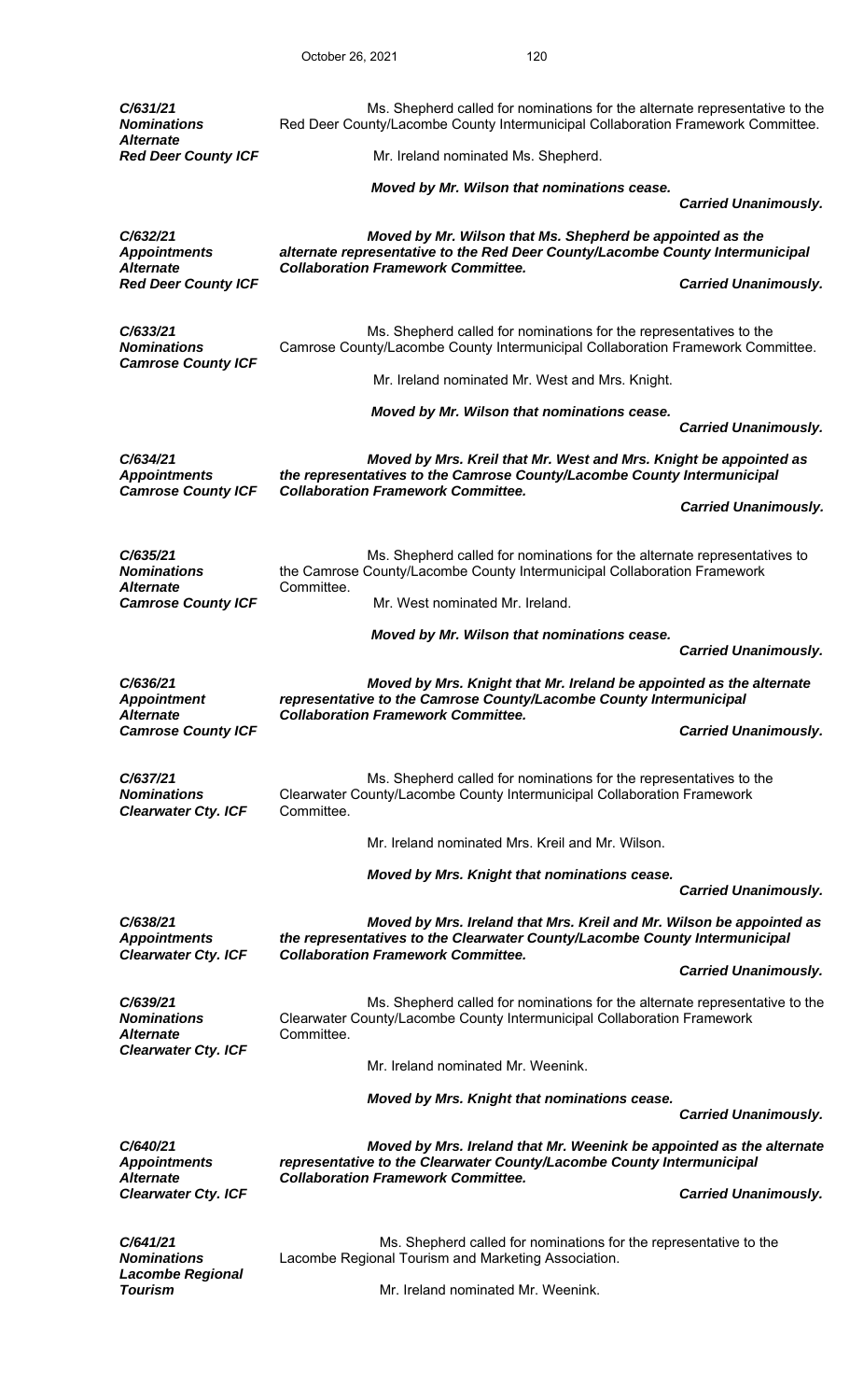| C/631/21<br><b>Nominations</b><br><b>Alternate</b>           | Ms. Shepherd called for nominations for the alternate representative to the<br>Red Deer County/Lacombe County Intermunicipal Collaboration Framework Committee.                            |                             |
|--------------------------------------------------------------|--------------------------------------------------------------------------------------------------------------------------------------------------------------------------------------------|-----------------------------|
| <b>Red Deer County ICF</b>                                   | Mr. Ireland nominated Ms. Shepherd.                                                                                                                                                        |                             |
|                                                              | Moved by Mr. Wilson that nominations cease.                                                                                                                                                | <b>Carried Unanimously.</b> |
| C/632/21<br><b>Appointments</b>                              | Moved by Mr. Wilson that Ms. Shepherd be appointed as the<br>alternate representative to the Red Deer County/Lacombe County Intermunicipal                                                 |                             |
| <b>Alternate</b><br><b>Red Deer County ICF</b>               | <b>Collaboration Framework Committee.</b>                                                                                                                                                  | <b>Carried Unanimously.</b> |
| C/633/21<br><b>Nominations</b><br><b>Camrose County ICF</b>  | Ms. Shepherd called for nominations for the representatives to the<br>Camrose County/Lacombe County Intermunicipal Collaboration Framework Committee.                                      |                             |
|                                                              | Mr. Ireland nominated Mr. West and Mrs. Knight.                                                                                                                                            |                             |
|                                                              | Moved by Mr. Wilson that nominations cease.                                                                                                                                                | <b>Carried Unanimously.</b> |
| C/634/21<br><b>Appointments</b><br><b>Camrose County ICF</b> | Moved by Mrs. Kreil that Mr. West and Mrs. Knight be appointed as<br>the representatives to the Camrose County/Lacombe County Intermunicipal<br><b>Collaboration Framework Committee.</b>  |                             |
|                                                              |                                                                                                                                                                                            | <b>Carried Unanimously.</b> |
| C/635/21<br><b>Nominations</b>                               | Ms. Shepherd called for nominations for the alternate representatives to<br>the Camrose County/Lacombe County Intermunicipal Collaboration Framework                                       |                             |
| <b>Alternate</b><br><b>Camrose County ICF</b>                | Committee.<br>Mr. West nominated Mr. Ireland.                                                                                                                                              |                             |
|                                                              | Moved by Mr. Wilson that nominations cease.                                                                                                                                                | <b>Carried Unanimously.</b> |
|                                                              |                                                                                                                                                                                            |                             |
| C/636/21<br><b>Appointment</b><br><b>Alternate</b>           | Moved by Mrs. Knight that Mr. Ireland be appointed as the alternate<br>representative to the Camrose County/Lacombe County Intermunicipal<br><b>Collaboration Framework Committee.</b>     |                             |
| <b>Camrose County ICF</b>                                    |                                                                                                                                                                                            | <b>Carried Unanimously.</b> |
| C/637/21<br><b>Nominations</b><br><b>Clearwater Cty. ICF</b> | Ms. Shepherd called for nominations for the representatives to the<br>Clearwater County/Lacombe County Intermunicipal Collaboration Framework<br>Committee.                                |                             |
|                                                              | Mr. Ireland nominated Mrs. Kreil and Mr. Wilson.                                                                                                                                           |                             |
|                                                              | Moved by Mrs. Knight that nominations cease.                                                                                                                                               | <b>Carried Unanimously.</b> |
| C/638/21                                                     | Moved by Mrs. Ireland that Mrs. Kreil and Mr. Wilson be appointed as                                                                                                                       |                             |
| <b>Appointments</b>                                          | the representatives to the Clearwater County/Lacombe County Intermunicipal                                                                                                                 |                             |
| <b>Clearwater Cty. ICF</b>                                   | <b>Collaboration Framework Committee.</b>                                                                                                                                                  | <b>Carried Unanimously.</b> |
| C/639/21<br><b>Nominations</b><br><b>Alternate</b>           | Ms. Shepherd called for nominations for the alternate representative to the<br>Clearwater County/Lacombe County Intermunicipal Collaboration Framework<br>Committee.                       |                             |
| <b>Clearwater Cty. ICF</b>                                   | Mr. Ireland nominated Mr. Weenink.                                                                                                                                                         |                             |
|                                                              | Moved by Mrs. Knight that nominations cease.                                                                                                                                               |                             |
|                                                              |                                                                                                                                                                                            | <b>Carried Unanimously.</b> |
| C/640/21<br><b>Appointments</b><br><b>Alternate</b>          | Moved by Mrs. Ireland that Mr. Weenink be appointed as the alternate<br>representative to the Clearwater County/Lacombe County Intermunicipal<br><b>Collaboration Framework Committee.</b> |                             |
| <b>Clearwater Cty. ICF</b>                                   |                                                                                                                                                                                            | <b>Carried Unanimously.</b> |
| C/641/21<br><b>Nominations</b><br><b>Lacombe Regional</b>    | Ms. Shepherd called for nominations for the representative to the<br>Lacombe Regional Tourism and Marketing Association.                                                                   |                             |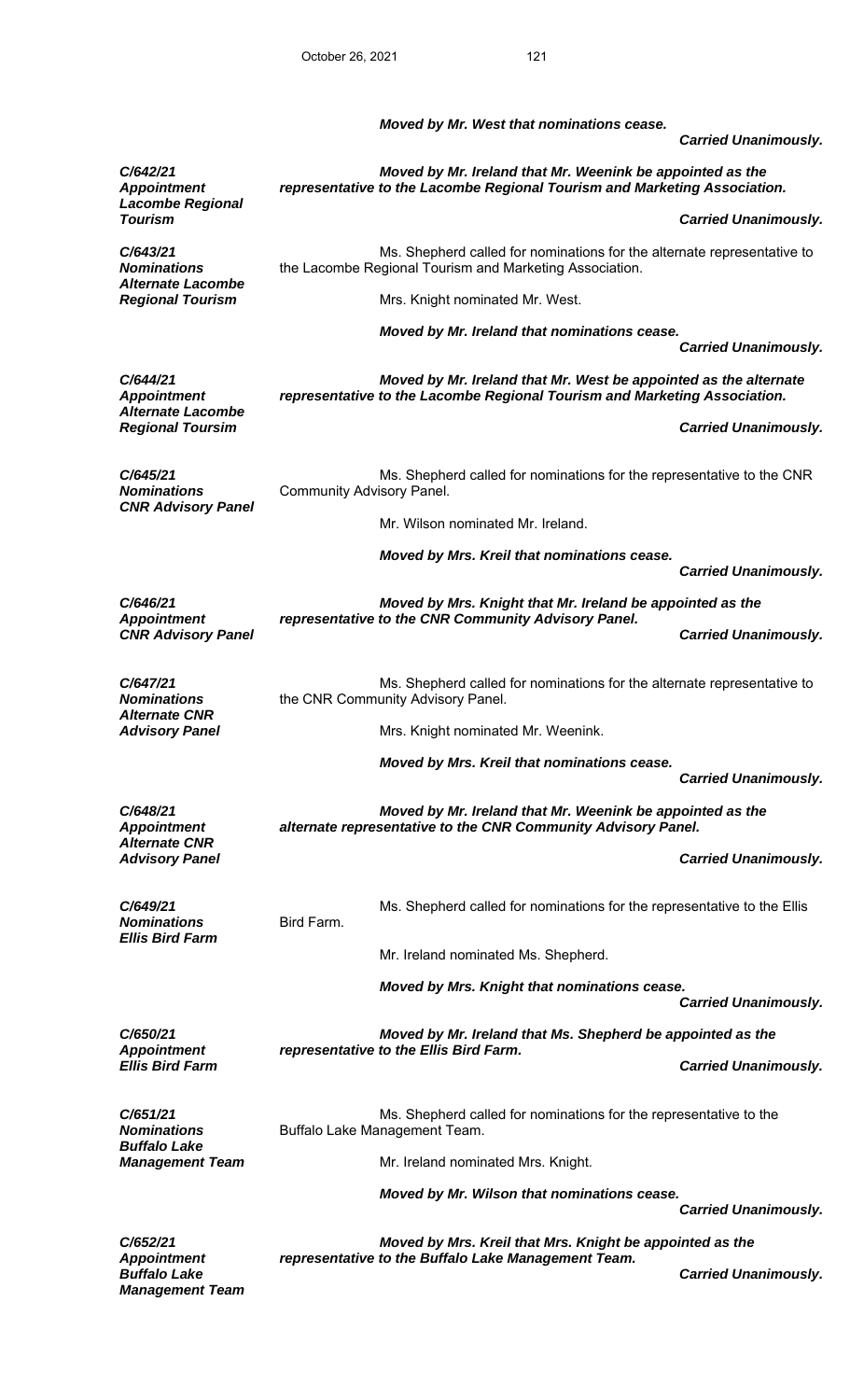|                                                                     |                           | Moved by Mr. West that nominations cease.                                                                                                     | <b>Carried Unanimously.</b> |
|---------------------------------------------------------------------|---------------------------|-----------------------------------------------------------------------------------------------------------------------------------------------|-----------------------------|
| C/642/21<br><b>Appointment</b><br><b>Lacombe Regional</b>           |                           | Moved by Mr. Ireland that Mr. Weenink be appointed as the<br>representative to the Lacombe Regional Tourism and Marketing Association.        |                             |
| <b>Tourism</b>                                                      |                           |                                                                                                                                               | <b>Carried Unanimously.</b> |
| C/643/21<br><b>Nominations</b><br><b>Alternate Lacombe</b>          |                           | Ms. Shepherd called for nominations for the alternate representative to<br>the Lacombe Regional Tourism and Marketing Association.            |                             |
| <b>Regional Tourism</b>                                             |                           | Mrs. Knight nominated Mr. West.                                                                                                               |                             |
|                                                                     |                           | Moved by Mr. Ireland that nominations cease.                                                                                                  | <b>Carried Unanimously.</b> |
|                                                                     |                           |                                                                                                                                               |                             |
| C/644/21<br><b>Appointment</b><br><b>Alternate Lacombe</b>          |                           | Moved by Mr. Ireland that Mr. West be appointed as the alternate<br>representative to the Lacombe Regional Tourism and Marketing Association. |                             |
| <b>Regional Toursim</b>                                             |                           |                                                                                                                                               | <b>Carried Unanimously.</b> |
| C/645/21<br><b>Nominations</b>                                      | Community Advisory Panel. | Ms. Shepherd called for nominations for the representative to the CNR                                                                         |                             |
| <b>CNR Advisory Panel</b>                                           |                           | Mr. Wilson nominated Mr. Ireland.                                                                                                             |                             |
|                                                                     |                           | Moved by Mrs. Kreil that nominations cease.                                                                                                   |                             |
|                                                                     |                           |                                                                                                                                               | <b>Carried Unanimously.</b> |
| C/646/21<br><b>Appointment</b>                                      |                           | Moved by Mrs. Knight that Mr. Ireland be appointed as the<br>representative to the CNR Community Advisory Panel.                              |                             |
| <b>CNR Advisory Panel</b>                                           |                           |                                                                                                                                               | <b>Carried Unanimously.</b> |
| C/647/21<br><b>Nominations</b><br>Alternate CNR                     |                           | Ms. Shepherd called for nominations for the alternate representative to<br>the CNR Community Advisory Panel.                                  |                             |
| <b>Advisory Panel</b>                                               |                           | Mrs. Knight nominated Mr. Weenink.                                                                                                            |                             |
|                                                                     |                           | Moved by Mrs. Kreil that nominations cease.                                                                                                   | <b>Carried Unanimously.</b> |
| C/648/21                                                            |                           | Moved by Mr. Ireland that Mr. Weenink be appointed as the                                                                                     |                             |
| <b>Appointment</b><br><b>Alternate CNR</b>                          |                           | alternate representative to the CNR Community Advisory Panel.                                                                                 |                             |
| <b>Advisory Panel</b>                                               |                           |                                                                                                                                               | <b>Carried Unanimously.</b> |
| C/649/21<br><b>Nominations</b>                                      | Bird Farm.                | Ms. Shepherd called for nominations for the representative to the Ellis                                                                       |                             |
| <b>Ellis Bird Farm</b>                                              |                           | Mr. Ireland nominated Ms. Shepherd.                                                                                                           |                             |
|                                                                     |                           | Moved by Mrs. Knight that nominations cease.                                                                                                  |                             |
|                                                                     |                           |                                                                                                                                               | <b>Carried Unanimously.</b> |
| C/650/21<br><b>Appointment</b>                                      |                           | Moved by Mr. Ireland that Ms. Shepherd be appointed as the<br>representative to the Ellis Bird Farm.                                          |                             |
| <b>Ellis Bird Farm</b>                                              |                           |                                                                                                                                               | <b>Carried Unanimously.</b> |
| C/651/21<br><b>Nominations</b>                                      |                           | Ms. Shepherd called for nominations for the representative to the<br>Buffalo Lake Management Team.                                            |                             |
| <b>Buffalo Lake</b><br><b>Management Team</b>                       |                           | Mr. Ireland nominated Mrs. Knight.                                                                                                            |                             |
|                                                                     |                           | Moved by Mr. Wilson that nominations cease.                                                                                                   | <b>Carried Unanimously.</b> |
| C/652/21                                                            |                           | Moved by Mrs. Kreil that Mrs. Knight be appointed as the                                                                                      |                             |
| <b>Appointment</b><br><b>Buffalo Lake</b><br><b>Management Team</b> |                           | representative to the Buffalo Lake Management Team.                                                                                           | <b>Carried Unanimously.</b> |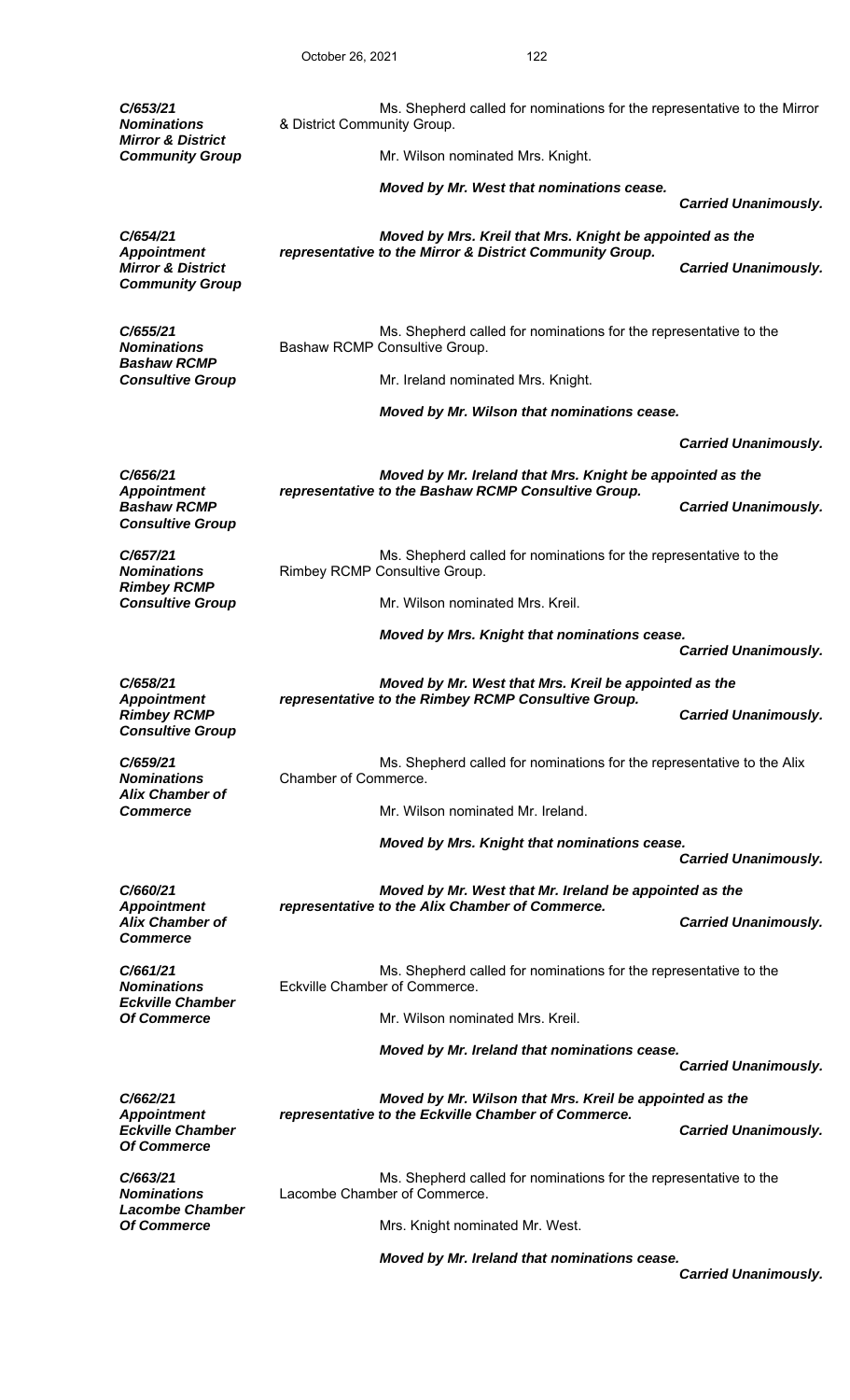| C/653/21<br><b>Nominations</b><br><b>Mirror &amp; District</b>               | & District Community Group.                                                                                  | Ms. Shepherd called for nominations for the representative to the Mirror                                         |                             |
|------------------------------------------------------------------------------|--------------------------------------------------------------------------------------------------------------|------------------------------------------------------------------------------------------------------------------|-----------------------------|
| <b>Community Group</b>                                                       |                                                                                                              | Mr. Wilson nominated Mrs. Knight.                                                                                |                             |
|                                                                              |                                                                                                              | Moved by Mr. West that nominations cease.                                                                        | <b>Carried Unanimously.</b> |
| C/654/21                                                                     |                                                                                                              | Moved by Mrs. Kreil that Mrs. Knight be appointed as the                                                         |                             |
| <b>Appointment</b><br><b>Mirror &amp; District</b><br><b>Community Group</b> |                                                                                                              | representative to the Mirror & District Community Group.                                                         | <b>Carried Unanimously.</b> |
| C/655/21<br><b>Nominations</b><br><b>Bashaw RCMP</b>                         |                                                                                                              | Ms. Shepherd called for nominations for the representative to the<br>Bashaw RCMP Consultive Group.               |                             |
| <b>Consultive Group</b>                                                      |                                                                                                              | Mr. Ireland nominated Mrs. Knight.                                                                               |                             |
|                                                                              |                                                                                                              | Moved by Mr. Wilson that nominations cease.                                                                      |                             |
|                                                                              |                                                                                                              |                                                                                                                  | <b>Carried Unanimously.</b> |
| C/656/21<br><b>Appointment</b>                                               |                                                                                                              | Moved by Mr. Ireland that Mrs. Knight be appointed as the<br>representative to the Bashaw RCMP Consultive Group. |                             |
| <b>Bashaw RCMP</b><br><b>Consultive Group</b>                                |                                                                                                              |                                                                                                                  | <b>Carried Unanimously.</b> |
| C/657/21<br><b>Nominations</b><br><b>Rimbey RCMP</b>                         |                                                                                                              | Ms. Shepherd called for nominations for the representative to the<br>Rimbey RCMP Consultive Group.               |                             |
| <b>Consultive Group</b>                                                      |                                                                                                              | Mr. Wilson nominated Mrs. Kreil.                                                                                 |                             |
|                                                                              |                                                                                                              | Moved by Mrs. Knight that nominations cease.                                                                     | <b>Carried Unanimously.</b> |
| C/658/21<br><b>Appointment</b>                                               | Moved by Mr. West that Mrs. Kreil be appointed as the<br>representative to the Rimbey RCMP Consultive Group. |                                                                                                                  |                             |
| <b>Rimbey RCMP</b><br><b>Consultive Group</b>                                |                                                                                                              |                                                                                                                  | <b>Carried Unanimously.</b> |
| C/659/21<br><b>Nominations</b><br><b>Alix Chamber of</b>                     | Chamber of Commerce.                                                                                         | Ms. Shepherd called for nominations for the representative to the Alix                                           |                             |
| <b>Commerce</b>                                                              |                                                                                                              | Mr. Wilson nominated Mr. Ireland.                                                                                |                             |
|                                                                              |                                                                                                              | Moved by Mrs. Knight that nominations cease.                                                                     | <b>Carried Unanimously.</b> |
| C/660/21<br><b>Appointment</b>                                               |                                                                                                              | Moved by Mr. West that Mr. Ireland be appointed as the<br>representative to the Alix Chamber of Commerce.        |                             |
| <b>Alix Chamber of</b><br><b>Commerce</b>                                    |                                                                                                              |                                                                                                                  | <b>Carried Unanimously.</b> |
| C/661/21<br><b>Nominations</b><br><b>Eckville Chamber</b>                    |                                                                                                              | Ms. Shepherd called for nominations for the representative to the<br>Eckville Chamber of Commerce.               |                             |
| <b>Of Commerce</b>                                                           |                                                                                                              | Mr. Wilson nominated Mrs. Kreil.                                                                                 |                             |
|                                                                              |                                                                                                              | Moved by Mr. Ireland that nominations cease.                                                                     | <b>Carried Unanimously.</b> |
| C/662/21<br><b>Appointment</b>                                               |                                                                                                              | Moved by Mr. Wilson that Mrs. Kreil be appointed as the<br>representative to the Eckville Chamber of Commerce.   |                             |
| <b>Eckville Chamber</b><br><b>Of Commerce</b>                                |                                                                                                              |                                                                                                                  | <b>Carried Unanimously.</b> |
| C/663/21<br><b>Nominations</b><br><b>Lacombe Chamber</b>                     |                                                                                                              | Ms. Shepherd called for nominations for the representative to the<br>Lacombe Chamber of Commerce.                |                             |
| <b>Of Commerce</b>                                                           |                                                                                                              | Mrs. Knight nominated Mr. West.                                                                                  |                             |
|                                                                              |                                                                                                              | Moved by Mr. Ireland that nominations cease.                                                                     | <b>Carried Unanimously.</b> |
|                                                                              |                                                                                                              |                                                                                                                  |                             |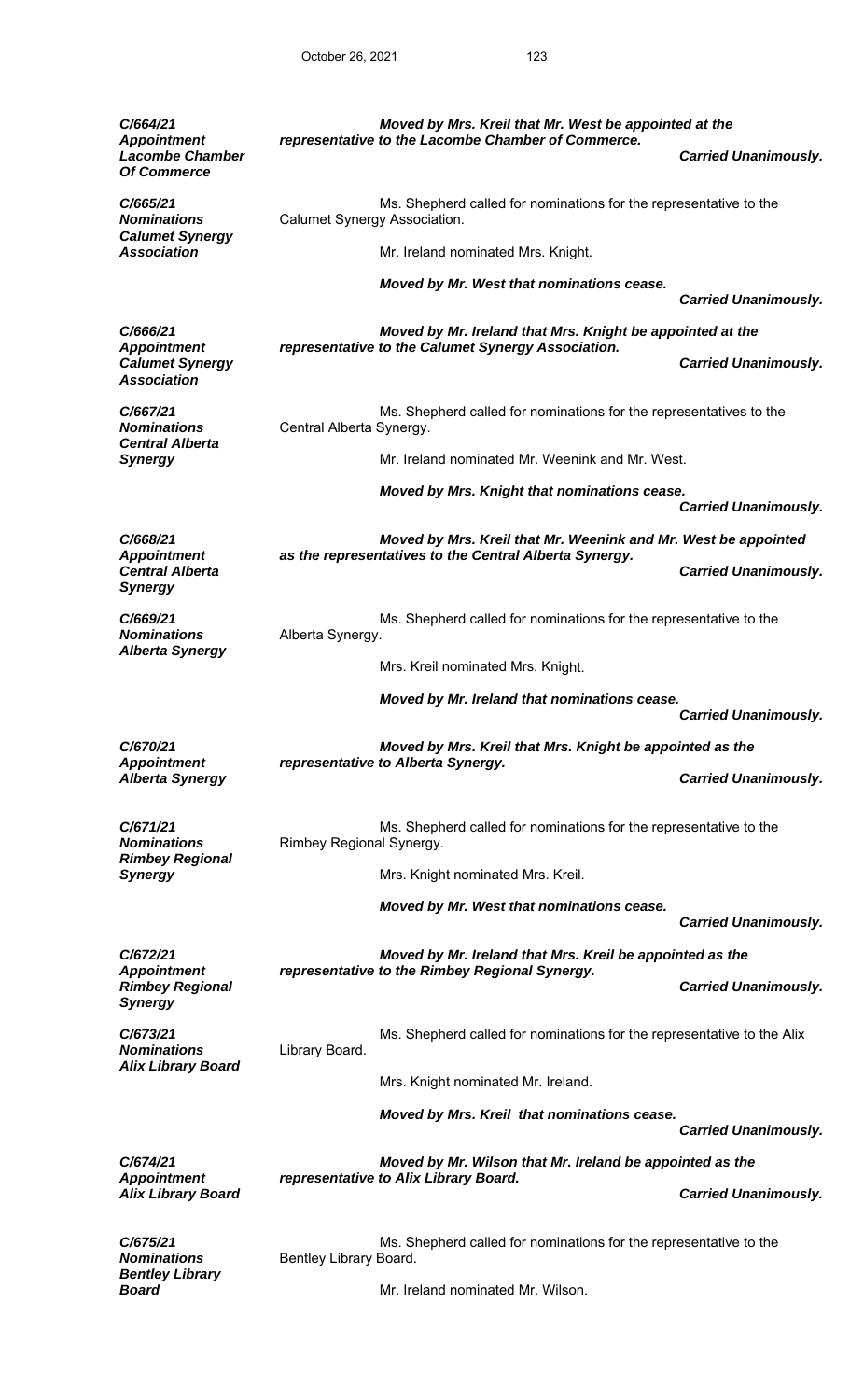| C/664/21<br><b>Appointment</b>                                                 |                                                                                                   | Moved by Mrs. Kreil that Mr. West be appointed at the<br>representative to the Lacombe Chamber of Commerce.              |                             |
|--------------------------------------------------------------------------------|---------------------------------------------------------------------------------------------------|--------------------------------------------------------------------------------------------------------------------------|-----------------------------|
| <b>Lacombe Chamber</b><br><b>Of Commerce</b>                                   |                                                                                                   |                                                                                                                          | <b>Carried Unanimously.</b> |
| C/665/21<br><b>Nominations</b><br><b>Calumet Synergy</b><br><b>Association</b> | Ms. Shepherd called for nominations for the representative to the<br>Calumet Synergy Association. |                                                                                                                          |                             |
|                                                                                |                                                                                                   | Mr. Ireland nominated Mrs. Knight.                                                                                       |                             |
|                                                                                |                                                                                                   | Moved by Mr. West that nominations cease.                                                                                | <b>Carried Unanimously.</b> |
| C/666/21<br>Moved by Mr. Ireland that Mrs. Knight be appointed at the          |                                                                                                   |                                                                                                                          |                             |
| <b>Appointment</b><br><b>Calumet Synergy</b><br><b>Association</b>             |                                                                                                   | representative to the Calumet Synergy Association.                                                                       | <b>Carried Unanimously.</b> |
| C/667/21<br><b>Nominations</b><br><b>Central Alberta</b>                       | Central Alberta Synergy.                                                                          | Ms. Shepherd called for nominations for the representatives to the                                                       |                             |
| <b>Synergy</b>                                                                 |                                                                                                   | Mr. Ireland nominated Mr. Weenink and Mr. West.                                                                          |                             |
|                                                                                |                                                                                                   | Moved by Mrs. Knight that nominations cease.                                                                             |                             |
|                                                                                |                                                                                                   |                                                                                                                          | <b>Carried Unanimously.</b> |
| C/668/21<br><b>Appointment</b>                                                 |                                                                                                   | Moved by Mrs. Kreil that Mr. Weenink and Mr. West be appointed<br>as the representatives to the Central Alberta Synergy. |                             |
| <b>Central Alberta</b><br><b>Synergy</b>                                       |                                                                                                   |                                                                                                                          | <b>Carried Unanimously.</b> |
| C/669/21<br><b>Nominations</b><br><b>Alberta Synergy</b>                       | Alberta Synergy.                                                                                  | Ms. Shepherd called for nominations for the representative to the                                                        |                             |
|                                                                                |                                                                                                   | Mrs. Kreil nominated Mrs. Knight.                                                                                        |                             |
|                                                                                |                                                                                                   | Moved by Mr. Ireland that nominations cease.                                                                             | <b>Carried Unanimously.</b> |
| C/670/21                                                                       |                                                                                                   | Moved by Mrs. Kreil that Mrs. Knight be appointed as the                                                                 |                             |
| <b>Appointment</b><br><b>Alberta Synergy</b>                                   |                                                                                                   | representative to Alberta Synergy.                                                                                       | <b>Carried Unanimously.</b> |
| C/671/21<br><b>Nominations</b>                                                 | Rimbey Regional Synergy.                                                                          | Ms. Shepherd called for nominations for the representative to the                                                        |                             |
| <b>Rimbey Regional</b><br><b>Synergy</b>                                       |                                                                                                   | Mrs. Knight nominated Mrs. Kreil.                                                                                        |                             |
|                                                                                |                                                                                                   | Moved by Mr. West that nominations cease.                                                                                | <b>Carried Unanimously.</b> |
| C/672/21                                                                       |                                                                                                   | Moved by Mr. Ireland that Mrs. Kreil be appointed as the                                                                 |                             |
| <b>Appointment</b><br><b>Rimbey Regional</b><br><b>Synergy</b>                 |                                                                                                   | representative to the Rimbey Regional Synergy.                                                                           | <b>Carried Unanimously.</b> |
| C/673/21<br><b>Nominations</b>                                                 | Library Board.                                                                                    | Ms. Shepherd called for nominations for the representative to the Alix                                                   |                             |
| <b>Alix Library Board</b>                                                      |                                                                                                   | Mrs. Knight nominated Mr. Ireland.                                                                                       |                             |
|                                                                                |                                                                                                   | Moved by Mrs. Kreil that nominations cease.                                                                              | <b>Carried Unanimously.</b> |
| C/674/21                                                                       |                                                                                                   | Moved by Mr. Wilson that Mr. Ireland be appointed as the                                                                 |                             |
| <b>Appointment</b><br><b>Alix Library Board</b>                                |                                                                                                   | representative to Alix Library Board.                                                                                    | <b>Carried Unanimously.</b> |
| C/675/21<br><b>Nominations</b>                                                 | Bentley Library Board.                                                                            | Ms. Shepherd called for nominations for the representative to the                                                        |                             |
| <b>Bentley Library</b><br><b>Board</b>                                         |                                                                                                   | Mr. Ireland nominated Mr. Wilson.                                                                                        |                             |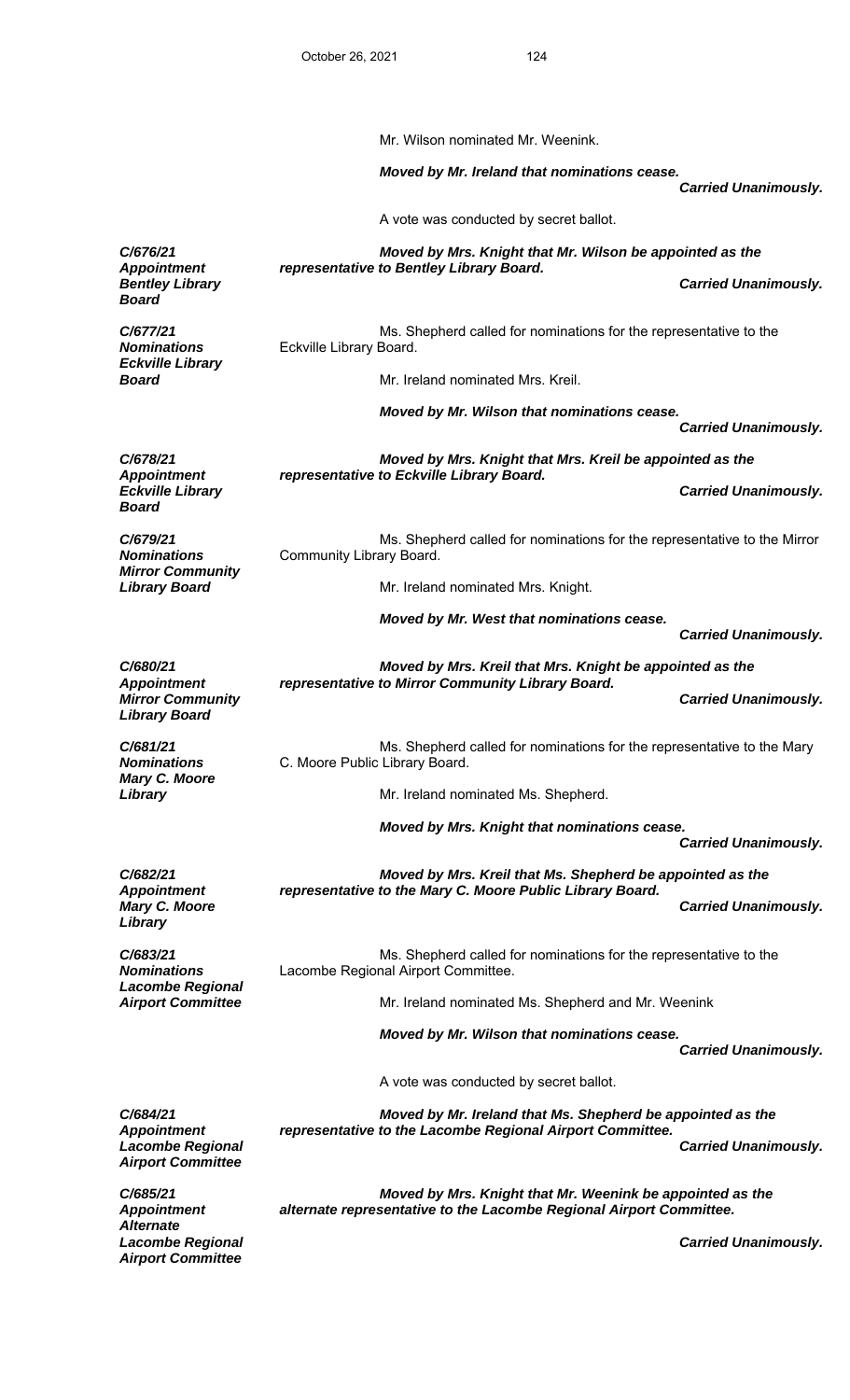*Airport Committee* 

 Mr. Wilson nominated Mr. Weenink.  *Moved by Mr. Ireland that nominations cease. Carried Unanimously.*  A vote was conducted by secret ballot. *C/676/21 Appointment Moved by Mrs. Knight that Mr. Wilson be appointed as the representative to Bentley Library Board.*  **Bentley Library Carried Unanimously. Bentley Library** Carried Unanimously. *Board C/677/21 Nominations*  Ms. Shepherd called for nominations for the representative to the Eckville Library Board. *Eckville Library*  **Board Board Mr. Ireland nominated Mrs. Kreil.**  *Moved by Mr. Wilson that nominations cease. Carried Unanimously. C/678/21 Appointment Moved by Mrs. Knight that Mrs. Kreil be appointed as the representative to Eckville Library Board. Eckville Library Board Carried Unanimously. C/679/21 Nominations*  Ms. Shepherd called for nominations for the representative to the Mirror Community Library Board. *Mirror Community*  **Library Board Mr. Ireland nominated Mrs. Knight.**  *Moved by Mr. West that nominations cease. Carried Unanimously. C/680/21 Appointment Moved by Mrs. Kreil that Mrs. Knight be appointed as the representative to Mirror Community Library Board. Mirror Community Carried Unanimously. Library Board C/681/21 Nominations*  Ms. Shepherd called for nominations for the representative to the Mary C. Moore Public Library Board. *Mary C. Moore*  Mr. Ireland nominated Ms. Shepherd.  *Moved by Mrs. Knight that nominations cease. Carried Unanimously. C/682/21 Appointment Moved by Mrs. Kreil that Ms. Shepherd be appointed as the representative to the Mary C. Moore Public Library Board.*  **Carried Unanimously.** *Library C/683/21 Nominations*  Ms. Shepherd called for nominations for the representative to the Lacombe Regional Airport Committee. *Lacombe Regional Airport Committee* Mr. Ireland nominated Ms. Shepherd and Mr. Weenink  *Moved by Mr. Wilson that nominations cease. Carried Unanimously.*  A vote was conducted by secret ballot. *C/684/21 Appointment Moved by Mr. Ireland that Ms. Shepherd be appointed as the representative to the Lacombe Regional Airport Committee. Lacombe Regional Carried Unanimously. Airport Committee C/685/21 Appointment Moved by Mrs. Knight that Mr. Weenink be appointed as the alternate representative to the Lacombe Regional Airport Committee. Alternate* 

*Lacombe Regional Carried Unanimously.*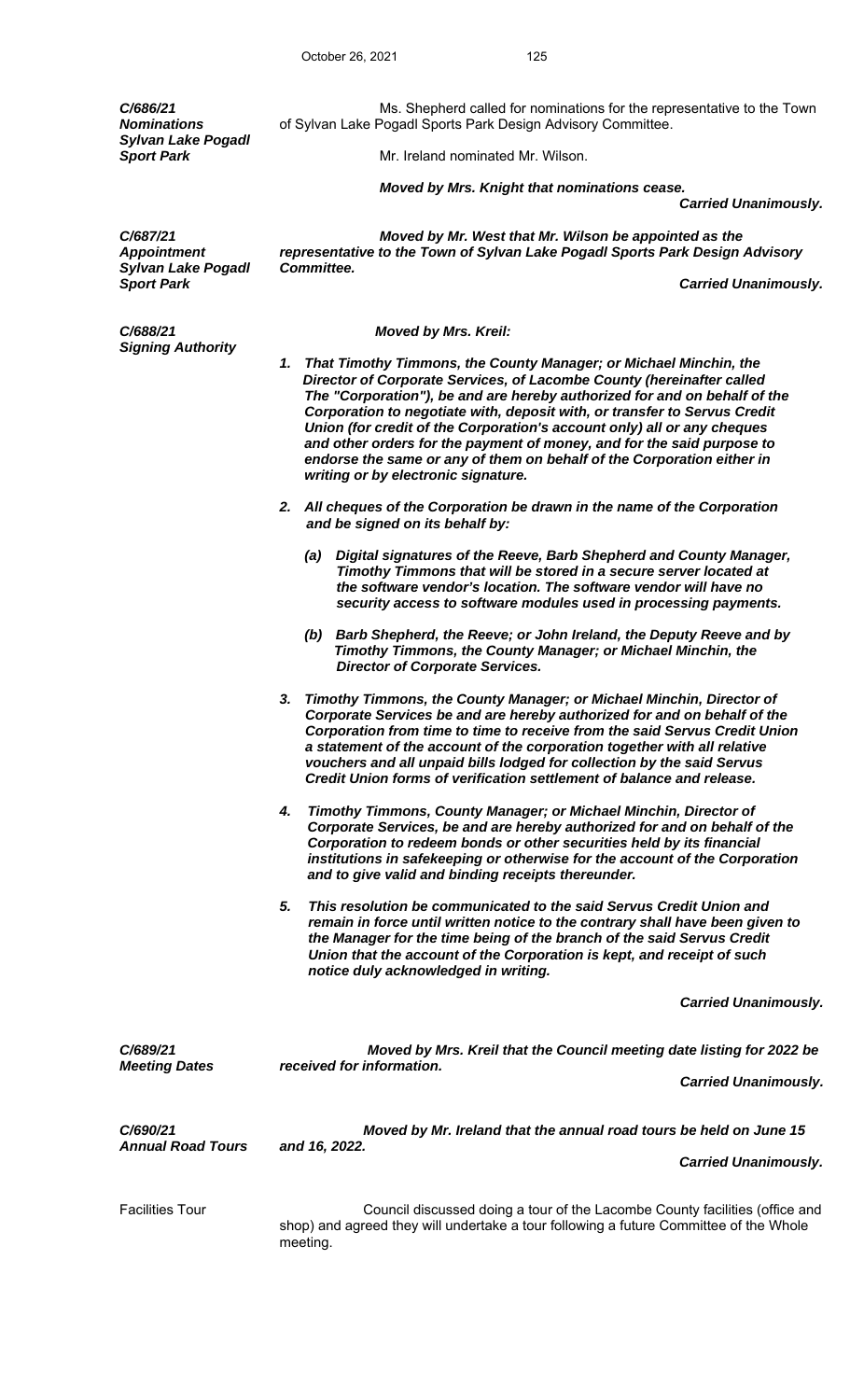October 26, 2021 125 *C/686/21 Nominations*  Ms. Shepherd called for nominations for the representative to the Town of Sylvan Lake Pogadl Sports Park Design Advisory Committee. *Sylvan Lake Pogadl*  **Sport Park Sport Park Mr. Ireland nominated Mr. Wilson.**  *Moved by Mrs. Knight that nominations cease. Moved by Mr. West that Mr. Wilson be appointed as the representative to the Town of Sylvan Lake Pogadl Sports Park Design Advisory Committee. Sport Park Carried Unanimously. C/688/21 Moved by Mrs. Kreil: 1. That Timothy Timmons, the County Manager; or Michael Minchin, the Director of Corporate Services, of Lacombe County (hereinafter called The "Corporation"), be and are hereby authorized for and on behalf of the Corporation to negotiate with, deposit with, or transfer to Servus Credit Union (for credit of the Corporation's account only) all or any cheques and other orders for the payment of money, and for the said purpose to endorse the same or any of them on behalf of the Corporation either in writing or by electronic signature. 2. All cheques of the Corporation be drawn in the name of the Corporation and be signed on its behalf by: (a) Digital signatures of the Reeve, Barb Shepherd and County Manager, Timothy Timmons that will be stored in a secure server located at the software vendor's location. The software vendor will have no security access to software modules used in processing payments. (b) Barb Shepherd, the Reeve; or John Ireland, the Deputy Reeve and by Timothy Timmons, the County Manager; or Michael Minchin, the Director of Corporate Services. 3. Timothy Timmons, the County Manager; or Michael Minchin, Director of Corporate Services be and are hereby authorized for and on behalf of the Corporation from time to time to receive from the said Servus Credit Union a statement of the account of the corporation together with all relative vouchers and all unpaid bills lodged for collection by the said Servus Credit Union forms of verification settlement of balance and release.* 

> *4. Timothy Timmons, County Manager; or Michael Minchin, Director of Corporate Services, be and are hereby authorized for and on behalf of the Corporation to redeem bonds or other securities held by its financial institutions in safekeeping or otherwise for the account of the Corporation and to give valid and binding receipts thereunder.*

> *5. This resolution be communicated to the said Servus Credit Union and remain in force until written notice to the contrary shall have been given to the Manager for the time being of the branch of the said Servus Credit Union that the account of the Corporation is kept, and receipt of such notice duly acknowledged in writing.*

> > *Carried Unanimously.*

| C/689/21<br><b>Meeting Dates</b> | Moved by Mrs. Kreil that the Council meeting date listing for 2022 be<br>received for information.                                                                   |
|----------------------------------|----------------------------------------------------------------------------------------------------------------------------------------------------------------------|
|                                  | <b>Carried Unanimously.</b>                                                                                                                                          |
| C/690/21<br>Annual Road Tours    | Moved by Mr. Ireland that the annual road tours be held on June 15<br>and 16, 2022.                                                                                  |
|                                  | <b>Carried Unanimously.</b>                                                                                                                                          |
| Facilities Tour                  | Council discussed doing a tour of the Lacombe County facilities (office and<br>shop) and agreed they will undertake a tour following a future Committee of the Whole |

 *Carried Unanimously.* 

*C/687/21 Appointment Sylvan Lake Pogadl* 

> and agreed they will undertake a tour following a future Committee of the Whole meeting.

*Signing Authority*